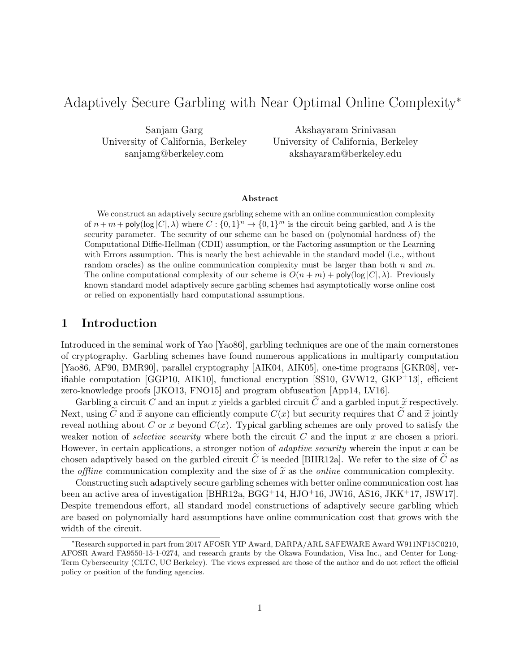# Adaptively Secure Garbling with Near Optimal Online Complexity<sup>∗</sup>

Sanjam Garg University of California, Berkeley sanjamg@berkeley.com

Akshayaram Srinivasan University of California, Berkeley akshayaram@berkeley.edu

#### Abstract

We construct an adaptively secure garbling scheme with an online communication complexity of  $n+m + \text{poly}(\log |C|, \lambda)$  where  $C: \{0,1\}^n \to \{0,1\}^m$  is the circuit being garbled, and  $\lambda$  is the security parameter. The security of our scheme can be based on (polynomial hardness of) the Computational Diffie-Hellman (CDH) assumption, or the Factoring assumption or the Learning with Errors assumption. This is nearly the best achievable in the standard model (i.e., without random oracles) as the online communication complexity must be larger than both n and m. The online computational complexity of our scheme is  $O(n + m) + \text{poly}(\log |C|, \lambda)$ . Previously known standard model adaptively secure garbling schemes had asymptotically worse online cost or relied on exponentially hard computational assumptions.

# 1 Introduction

Introduced in the seminal work of Yao [Yao86], garbling techniques are one of the main cornerstones of cryptography. Garbling schemes have found numerous applications in multiparty computation [Yao86, AF90, BMR90], parallel cryptography [AIK04, AIK05], one-time programs [GKR08], verifiable computation [GGP10, AIK10], functional encryption [SS10, GVW12, GKP<sup>+</sup>13], efficient zero-knowledge proofs [JKO13, FNO15] and program obfuscation [App14, LV16].

Garbling a circuit C and an input x yields a garbled circuit C and a garbled input  $\tilde{x}$  respectively. Next, using C and  $\tilde{x}$  anyone can efficiently compute  $C(x)$  but security requires that C and  $\tilde{x}$  jointly reveal nothing about C or x beyond  $C(x)$ . Typical garbling schemes are only proved to satisfy the weaker notion of *selective security* where both the circuit  $C$  and the input  $x$  are chosen a priori. However, in certain applications, a stronger notion of *adaptive security* wherein the input  $x$  can be chosen adaptively based on the garbled circuit  $\tilde{C}$  is needed [BHR12a]. We refer to the size of  $\tilde{C}$  as the *offline* communication complexity and the size of  $\tilde{x}$  as the *online* communication complexity.

Constructing such adaptively secure garbling schemes with better online communication cost has been an active area of investigation [BHR12a,  $BGG+14$ , HJO<sup>+</sup>16, JW16, AS16, JKK<sup>+</sup>17, JSW17]. Despite tremendous effort, all standard model constructions of adaptively secure garbling which are based on polynomially hard assumptions have online communication cost that grows with the width of the circuit.

<sup>∗</sup>Research supported in part from 2017 AFOSR YIP Award, DARPA/ARL SAFEWARE Award W911NF15C0210, AFOSR Award FA9550-15-1-0274, and research grants by the Okawa Foundation, Visa Inc., and Center for Long-Term Cybersecurity (CLTC, UC Berkeley). The views expressed are those of the author and do not reflect the official policy or position of the funding agencies.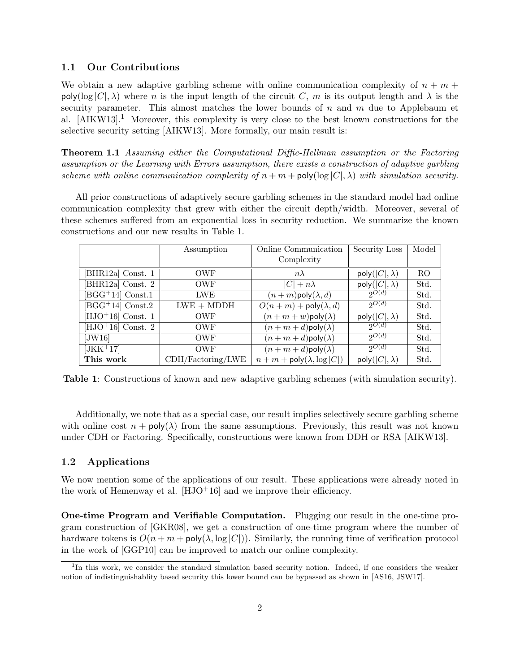### 1.1 Our Contributions

We obtain a new adaptive garbling scheme with online communication complexity of  $n + m$ .  $\text{poly}(\log |C|, \lambda)$  where n is the input length of the circuit C, m is its output length and  $\lambda$  is the security parameter. This almost matches the lower bounds of  $n$  and  $m$  due to Applebaum et al.  $[AKW13]$ <sup>1</sup> Moreover, this complexity is very close to the best known constructions for the selective security setting [AIKW13]. More formally, our main result is:

Theorem 1.1 Assuming either the Computational Diffie-Hellman assumption or the Factoring assumption or the Learning with Errors assumption, there exists a construction of adaptive garbling scheme with online communication complexity of  $n + m + \text{poly}(\log |C|, \lambda)$  with simulation security.

All prior constructions of adaptively secure garbling schemes in the standard model had online communication complexity that grew with either the circuit depth/width. Moreover, several of these schemes suffered from an exponential loss in security reduction. We summarize the known constructions and our new results in Table 1.

|                            | Assumption        | Online Communication                     | Security Loss        | Model |
|----------------------------|-------------------|------------------------------------------|----------------------|-------|
|                            |                   | Complexity                               |                      |       |
| [BHR12a] Const. 1          | OWF               | $n\lambda$                               | $poly( C , \lambda)$ | RO.   |
| BHR12a Const. 2            | OWF               | $ C +n\lambda$                           | $poly( C , \lambda)$ | Std.  |
| $[BGG+14]$ Const.1         | LWE               | $(n+m)$ poly $(\lambda, d)$              | QQ(d)                | Std.  |
| $[\text{BGG}^+14]$ Const.2 | $LWE + MDDH$      | $O(n+m) + \text{poly}(\lambda, d)$       | O(d)                 | Std.  |
| $[HJO+16]$ Const. 1        | <b>OWF</b>        | $(n+m+w)$ poly $(\lambda)$               | $poly( C , \lambda)$ | Std.  |
| [ $HJO+16$ ] Const. 2      | <b>OWF</b>        | $(n+m+d)$ poly $(\lambda)$               | $2^{O(d)}$           | Std.  |
| [JW16]                     | <b>OWF</b>        | $(n+m+d)$ poly $(\lambda)$               | 2O(d)                | Std.  |
| $ JKK^+17 $                | <b>OWF</b>        | $(n+m+d)$ poly $(\lambda)$               | 2O(d)                | Std.  |
| This work                  | CDH/Factoring/LWE | $n + m + \text{poly}(\lambda, \log  C )$ | $poly( C , \lambda)$ | Std.  |

Table 1: Constructions of known and new adaptive garbling schemes (with simulation security).

Additionally, we note that as a special case, our result implies selectively secure garbling scheme with online cost  $n + \text{poly}(\lambda)$  from the same assumptions. Previously, this result was not known under CDH or Factoring. Specifically, constructions were known from DDH or RSA [AIKW13].

# 1.2 Applications

We now mention some of the applications of our result. These applications were already noted in the work of Hemenway et al.  $[HJO^+16]$  and we improve their efficiency.

One-time Program and Verifiable Computation. Plugging our result in the one-time program construction of [GKR08], we get a construction of one-time program where the number of hardware tokens is  $O(n + m + \text{poly}(\lambda, \log |C|))$ . Similarly, the running time of verification protocol in the work of [GGP10] can be improved to match our online complexity.

<sup>&</sup>lt;sup>1</sup>In this work, we consider the standard simulation based security notion. Indeed, if one considers the weaker notion of indistinguishablity based security this lower bound can be bypassed as shown in [AS16, JSW17].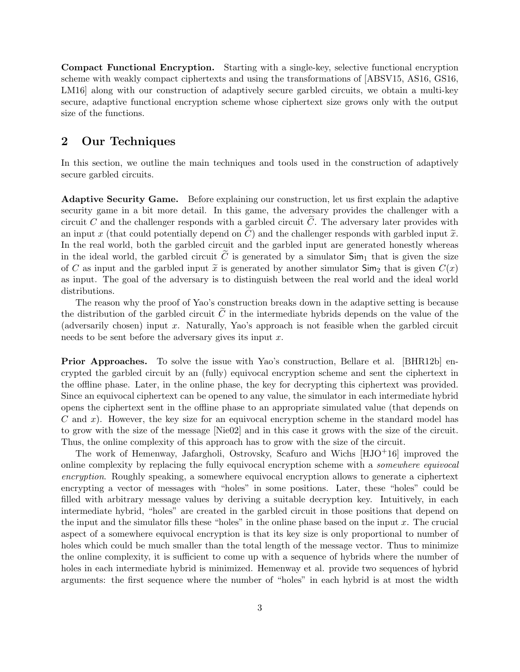Compact Functional Encryption. Starting with a single-key, selective functional encryption scheme with weakly compact ciphertexts and using the transformations of [ABSV15, AS16, GS16, LM16] along with our construction of adaptively secure garbled circuits, we obtain a multi-key secure, adaptive functional encryption scheme whose ciphertext size grows only with the output size of the functions.

# 2 Our Techniques

In this section, we outline the main techniques and tools used in the construction of adaptively secure garbled circuits.

Adaptive Security Game. Before explaining our construction, let us first explain the adaptive security game in a bit more detail. In this game, the adversary provides the challenger with a circuit C and the challenger responds with a garbled circuit C. The adversary later provides with an input x (that could potentially depend on C) and the challenger responds with garbled input  $\tilde{x}$ . In the real world, both the garbled circuit and the garbled input are generated honestly whereas in the ideal world, the garbled circuit  $\tilde{C}$  is generated by a simulator  $\mathsf{Sim}_1$  that is given the size of C as input and the garbled input  $\tilde{x}$  is generated by another simulator  $\textsf{Sim}_2$  that is given  $C(x)$ as input. The goal of the adversary is to distinguish between the real world and the ideal world distributions.

The reason why the proof of Yao's construction breaks down in the adaptive setting is because the distribution of the garbled circuit  $C$  in the intermediate hybrids depends on the value of the (adversarily chosen) input x. Naturally, Yao's approach is not feasible when the garbled circuit needs to be sent before the adversary gives its input  $x$ .

**Prior Approaches.** To solve the issue with Yao's construction, Bellare et al. [BHR12b] encrypted the garbled circuit by an (fully) equivocal encryption scheme and sent the ciphertext in the offline phase. Later, in the online phase, the key for decrypting this ciphertext was provided. Since an equivocal ciphertext can be opened to any value, the simulator in each intermediate hybrid opens the ciphertext sent in the offline phase to an appropriate simulated value (that depends on  $C$  and  $x$ ). However, the key size for an equivocal encryption scheme in the standard model has to grow with the size of the message [Nie02] and in this case it grows with the size of the circuit. Thus, the online complexity of this approach has to grow with the size of the circuit.

The work of Hemenway, Jafargholi, Ostrovsky, Scafuro and Wichs [HJO+16] improved the online complexity by replacing the fully equivocal encryption scheme with a somewhere equivocal encryption. Roughly speaking, a somewhere equivocal encryption allows to generate a ciphertext encrypting a vector of messages with "holes" in some positions. Later, these "holes" could be filled with arbitrary message values by deriving a suitable decryption key. Intuitively, in each intermediate hybrid, "holes" are created in the garbled circuit in those positions that depend on the input and the simulator fills these "holes" in the online phase based on the input  $x$ . The crucial aspect of a somewhere equivocal encryption is that its key size is only proportional to number of holes which could be much smaller than the total length of the message vector. Thus to minimize the online complexity, it is sufficient to come up with a sequence of hybrids where the number of holes in each intermediate hybrid is minimized. Hemenway et al. provide two sequences of hybrid arguments: the first sequence where the number of "holes" in each hybrid is at most the width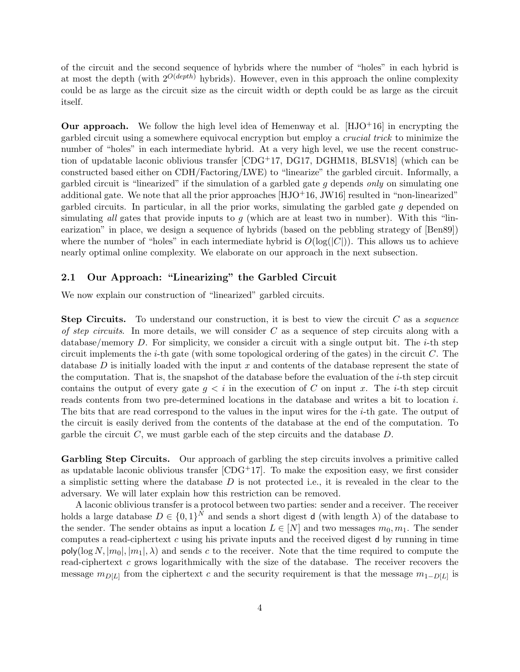of the circuit and the second sequence of hybrids where the number of "holes" in each hybrid is at most the depth (with  $2^{O(depth)}$  hybrids). However, even in this approach the online complexity could be as large as the circuit size as the circuit width or depth could be as large as the circuit itself.

**Our approach.** We follow the high level idea of Hemenway et al.  $[HJO^+16]$  in encrypting the garbled circuit using a somewhere equivocal encryption but employ a crucial trick to minimize the number of "holes" in each intermediate hybrid. At a very high level, we use the recent construction of updatable laconic oblivious transfer [CDG+17, DG17, DGHM18, BLSV18] (which can be constructed based either on CDH/Factoring/LWE) to "linearize" the garbled circuit. Informally, a garbled circuit is "linearized" if the simulation of a garbled gate  $g$  depends only on simulating one additional gate. We note that all the prior approaches  $[HJO<sup>+</sup>16, JW16]$  resulted in "non-linearized" garbled circuits. In particular, in all the prior works, simulating the garbled gate  $q$  depended on simulating all gates that provide inputs to  $g$  (which are at least two in number). With this "linearization" in place, we design a sequence of hybrids (based on the pebbling strategy of [Ben89]) where the number of "holes" in each intermediate hybrid is  $O(log(|C|))$ . This allows us to achieve nearly optimal online complexity. We elaborate on our approach in the next subsection.

# 2.1 Our Approach: "Linearizing" the Garbled Circuit

We now explain our construction of "linearized" garbled circuits.

**Step Circuits.** To understand our construction, it is best to view the circuit  $C$  as a *sequence* of step circuits. In more details, we will consider  $C$  as a sequence of step circuits along with a database/memory D. For simplicity, we consider a circuit with a single output bit. The  $i$ -th step circuit implements the *i*-th gate (with some topological ordering of the gates) in the circuit  $C$ . The database  $D$  is initially loaded with the input x and contents of the database represent the state of the computation. That is, the snapshot of the database before the evaluation of the  $i$ -th step circuit contains the output of every gate  $g < i$  in the execution of C on input x. The *i*-th step circuit reads contents from two pre-determined locations in the database and writes a bit to location i. The bits that are read correspond to the values in the input wires for the i-th gate. The output of the circuit is easily derived from the contents of the database at the end of the computation. To garble the circuit  $C$ , we must garble each of the step circuits and the database  $D$ .

Garbling Step Circuits. Our approach of garbling the step circuits involves a primitive called as updatable laconic oblivious transfer  $[CDG+17]$ . To make the exposition easy, we first consider a simplistic setting where the database  $D$  is not protected i.e., it is revealed in the clear to the adversary. We will later explain how this restriction can be removed.

A laconic oblivious transfer is a protocol between two parties: sender and a receiver. The receiver holds a large database  $D \in \{0,1\}^N$  and sends a short digest d (with length  $\lambda$ ) of the database to the sender. The sender obtains as input a location  $L \in [N]$  and two messages  $m_0, m_1$ . The sender computes a read-ciphertext c using his private inputs and the received digest  $d$  by running in time  $poly(\log N, |m_0|, |m_1|, \lambda)$  and sends c to the receiver. Note that the time required to compute the read-ciphertext c grows logarithmically with the size of the database. The receiver recovers the message  $m_{D[L]}$  from the ciphertext c and the security requirement is that the message  $m_{1-D[L]}$  is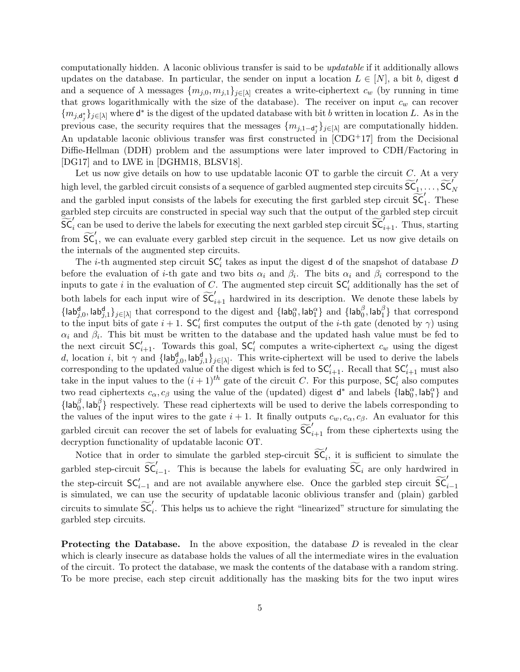computationally hidden. A laconic oblivious transfer is said to be updatable if it additionally allows updates on the database. In particular, the sender on input a location  $L \in [N]$ , a bit b, digest d and a sequence of  $\lambda$  messages  $\{m_{j,0}, m_{j,1}\}_{j\in[\lambda]}$  creates a write-ciphertext  $c_w$  (by running in time that grows logarithmically with the size of the database). The receiver on input  $c_w$  can recover  ${m_{j,\mathbf{d}_j^*}}_{j\in[\lambda]}$  where  $\mathbf{d}^*$  is the digest of the updated database with bit b written in location L. As in the previous case, the security requires that the messages  $\{m_{j,1-d_j^*}\}_{j\in[\lambda]}$  are computationally hidden. An updatable laconic oblivious transfer was first constructed in  $[CDG+17]$  from the Decisional Diffie-Hellman (DDH) problem and the assumptions were later improved to CDH/Factoring in [DG17] and to LWE in [DGHM18, BLSV18].

Let us now give details on how to use updatable laconic  $\overline{OT}$  to garble the circuit  $C$ . At a very high level, the garbled circuit consists of a sequence of garbled augmented step circuits  $\widetilde{SC}_{1}^{'}$ , ...,  $\widetilde{SC}_{N}^{'}$ and the garbled input consists of the labels for executing the first garbled step circuit  $\widetilde{SC}'_1$ . These garbled step circuits are constructed in special way such that the output of the garbled step circuit  $\widetilde{SC}'_i$  can be used to derive the labels for executing the next garbled step circuit  $\widetilde{SC}'_{i+1}$ . Thus, starting from  $\widetilde{SC}'_1$ , we can evaluate every garbled step circuit in the sequence. Let us now give details on the internals of the augmented step circuits.

The *i*-th augmented step circuit  $SC'_i$  takes as input the digest d of the snapshot of database D before the evaluation of *i*-th gate and two bits  $\alpha_i$  and  $\beta_i$ . The bits  $\alpha_i$  and  $\beta_i$  correspond to the inputs to gate i in the evaluation of C. The augmented step circuit  $SC'_{i}$  additionally has the set of both labels for each input wire of  $\widetilde{SC}'_{i+1}$  hardwired in its description. We denote these labels by  $\{\mathsf{lab}_{j,0}^{\mathsf{d}}, \mathsf{lab}_{j,1}^{\mathsf{d}}\}_{j\in[\lambda]}$  that correspond to the digest and  $\{\mathsf{lab}_{0}^{\alpha}, \mathsf{lab}_{1}^{\alpha}\}\$  and  $\{\mathsf{lab}_{0}^{\beta}, \mathsf{lab}_{1}^{\beta}\}\$  that correspond to the input bits of gate  $i + 1$ . SC'<sub>i</sub> first computes the output of the *i*-th gate (denoted by  $\gamma$ ) using  $\alpha_i$  and  $\beta_i$ . This bit must be written to the database and the updated hash value must be fed to the next circuit  $SC'_{i+1}$ . Towards this goal,  $SC'_{i}$  computes a write-ciphertext  $c_w$  using the digest d, location i, bit  $\gamma$  and  $\{\mathsf{lab}_{j,0}^{\mathsf{d}}, \mathsf{lab}_{j,1}^{\mathsf{d}}\}_{j \in [\lambda]}.$  This write-ciphertext will be used to derive the labels corresponding to the updated value of the digest which is fed to  $SC'_{i+1}$ . Recall that  $SC'_{i+1}$  must also take in the input values to the  $(i + 1)<sup>th</sup>$  gate of the circuit C. For this purpose,  $SC'_{i}$  also computes two read ciphertexts  $c_{\alpha}, c_{\beta}$  using the value of the (updated) digest  $\mathsf{d}^*$  and labels  $\{\mathsf{lab}_0^{\alpha}, \mathsf{lab}_1^{\alpha}\}\$  and  $\{\mathsf{lab}_0^\beta, \mathsf{lab}_1^\beta\}$  respectively. These read ciphertexts will be used to derive the labels corresponding to the values of the input wires to the gate  $i + 1$ . It finally outputs  $c_w, c_\alpha, c_\beta$ . An evaluator for this garbled circuit can recover the set of labels for evaluating  $\widetilde{SC}'_{i+1}$  from these ciphertexts using the decryption functionality of updatable laconic OT.

Notice that in order to simulate the garbled step-circuit  $\widetilde{SC}'_i$ , it is sufficient to simulate the garbled step-circuit  $\widetilde{{\mathsf{SC}}}^{\prime}_{i-1}$ . This is because the labels for evaluating  $\widetilde{{\mathsf{SC}}}_i$  are only hardwired in the step-circuit  $SC'_{i-1}$  and are not available anywhere else. Once the garbled step circuit  $\widetilde{SC}'_{i-1}$ is simulated, we can use the security of updatable laconic oblivious transfer and (plain) garbled circuits to simulate  $\widetilde{SC}'_i$ . This helps us to achieve the right "linearized" structure for simulating the garbled step circuits.

**Protecting the Database.** In the above exposition, the database  $D$  is revealed in the clear which is clearly insecure as database holds the values of all the intermediate wires in the evaluation of the circuit. To protect the database, we mask the contents of the database with a random string. To be more precise, each step circuit additionally has the masking bits for the two input wires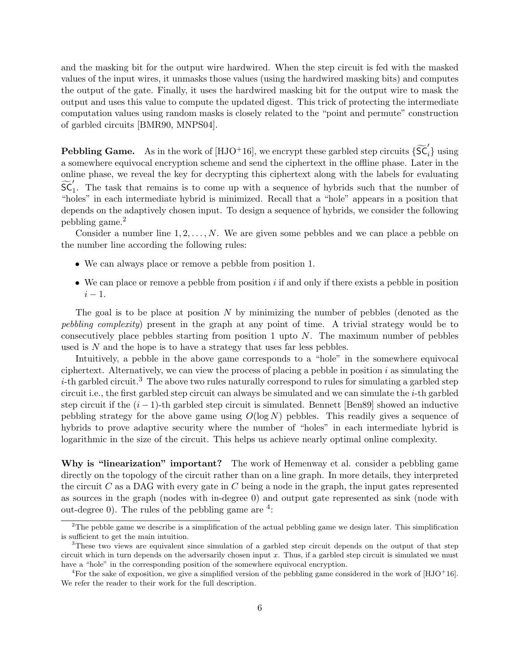and the masking bit for the output wire hardwired. When the step circuit is fed with the masked values of the input wires, it unmasks those values (using the hardwired masking bits) and computes the output of the gate. Finally, it uses the hardwired masking bit for the output wire to mask the output and uses this value to compute the updated digest. This trick of protecting the intermediate computation values using random masks is closely related to the "point and permute" construction of garbled circuits [BMR90, MNPS04].

**Pebbling Game.** As in the work of [HJO<sup>+</sup>16], we encrypt these garbled step circuits  $\{\widetilde{SC}_i'\}$  using a somewhere equivocal encryption scheme and send the ciphertext in the offline phase. Later in the online phase, we reveal the key for decrypting this ciphertext along with the labels for evaluating  $\widetilde{SC}'_1$ . The task that remains is to come up with a sequence of hybrids such that the number of "holes" in each intermediate hybrid is minimized. Recall that a "hole" appears in a position that depends on the adaptively chosen input. To design a sequence of hybrids, we consider the following pebbling game.<sup>2</sup>

Consider a number line  $1, 2, \ldots, N$ . We are given some pebbles and we can place a pebble on the number line according the following rules:

- We can always place or remove a pebble from position 1.
- We can place or remove a pebble from position  $i$  if and only if there exists a pebble in position  $i - 1$ .

The goal is to be place at position  $N$  by minimizing the number of pebbles (denoted as the pebbling complexity) present in the graph at any point of time. A trivial strategy would be to consecutively place pebbles starting from position 1 upto  $N$ . The maximum number of pebbles used is  $N$  and the hope is to have a strategy that uses far less pebbles.

Intuitively, a pebble in the above game corresponds to a "hole" in the somewhere equivocal ciphertext. Alternatively, we can view the process of placing a pebble in position  $i$  as simulating the  $i$ -th garbled circuit.<sup>3</sup> The above two rules naturally correspond to rules for simulating a garbled step circuit i.e., the first garbled step circuit can always be simulated and we can simulate the i-th garbled step circuit if the  $(i - 1)$ -th garbled step circuit is simulated. Bennett [Ben89] showed an inductive pebbling strategy for the above game using  $O(\log N)$  pebbles. This readily gives a sequence of hybrids to prove adaptive security where the number of "holes" in each intermediate hybrid is logarithmic in the size of the circuit. This helps us achieve nearly optimal online complexity.

Why is "linearization" important? The work of Hemenway et al. consider a pebbling game directly on the topology of the circuit rather than on a line graph. In more details, they interpreted the circuit C as a DAG with every gate in C being a node in the graph, the input gates represented as sources in the graph (nodes with in-degree 0) and output gate represented as sink (node with out-degree 0). The rules of the pebbling game are  $4$ :

<sup>&</sup>lt;sup>2</sup>The pebble game we describe is a simplification of the actual pebbling game we design later. This simplification is sufficient to get the main intuition.

<sup>3</sup>These two views are equivalent since simulation of a garbled step circuit depends on the output of that step circuit which in turn depends on the adversarily chosen input  $x$ . Thus, if a garbled step circuit is simulated we must have a "hole" in the corresponding position of the somewhere equivocal encryption.

<sup>&</sup>lt;sup>4</sup>For the sake of exposition, we give a simplified version of the pebbling game considered in the work of  $[HJO+16]$ . We refer the reader to their work for the full description.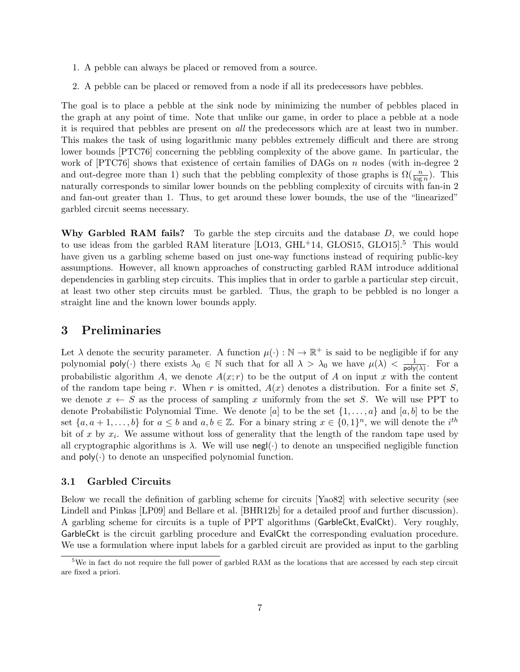- 1. A pebble can always be placed or removed from a source.
- 2. A pebble can be placed or removed from a node if all its predecessors have pebbles.

The goal is to place a pebble at the sink node by minimizing the number of pebbles placed in the graph at any point of time. Note that unlike our game, in order to place a pebble at a node it is required that pebbles are present on all the predecessors which are at least two in number. This makes the task of using logarithmic many pebbles extremely difficult and there are strong lower bounds [PTC76] concerning the pebbling complexity of the above game. In particular, the work of  $[PTC76]$  shows that existence of certain families of DAGs on n nodes (with in-degree 2) and out-degree more than 1) such that the pebbling complexity of those graphs is  $\Omega(\frac{n}{\log n})$ . This naturally corresponds to similar lower bounds on the pebbling complexity of circuits with fan-in 2 and fan-out greater than 1. Thus, to get around these lower bounds, the use of the "linearized" garbled circuit seems necessary.

Why Garbled RAM fails? To garble the step circuits and the database  $D$ , we could hope to use ideas from the garbled RAM literature  $[LO13, GHL<sup>+</sup>14, GLOS15, GLO15]<sup>5</sup>$  This would have given us a garbling scheme based on just one-way functions instead of requiring public-key assumptions. However, all known approaches of constructing garbled RAM introduce additional dependencies in garbling step circuits. This implies that in order to garble a particular step circuit, at least two other step circuits must be garbled. Thus, the graph to be pebbled is no longer a straight line and the known lower bounds apply.

# 3 Preliminaries

Let  $\lambda$  denote the security parameter. A function  $\mu(\cdot): \mathbb{N} \to \mathbb{R}^+$  is said to be negligible if for any polynomial poly(.) there exists  $\lambda_0 \in \mathbb{N}$  such that for all  $\lambda > \lambda_0$  we have  $\mu(\lambda) < \frac{1}{\text{poly}}$  $\frac{1}{\text{poly}(\lambda)}$ . For a probabilistic algorithm A, we denote  $A(x; r)$  to be the output of A on input x with the content of the random tape being r. When r is omitted,  $A(x)$  denotes a distribution. For a finite set S, we denote  $x \leftarrow S$  as the process of sampling x uniformly from the set S. We will use PPT to denote Probabilistic Polynomial Time. We denote [a] to be the set  $\{1, \ldots, a\}$  and [a, b] to be the set  $\{a, a+1, \ldots, b\}$  for  $a \leq b$  and  $a, b \in \mathbb{Z}$ . For a binary string  $x \in \{0, 1\}^n$ , we will denote the  $i^{th}$ bit of x by  $x_i$ . We assume without loss of generality that the length of the random tape used by all cryptographic algorithms is  $\lambda$ . We will use negl( $\cdot$ ) to denote an unspecified negligible function and  $\text{poly}(\cdot)$  to denote an unspecified polynomial function.

# 3.1 Garbled Circuits

Below we recall the definition of garbling scheme for circuits [Yao82] with selective security (see Lindell and Pinkas [LP09] and Bellare et al. [BHR12b] for a detailed proof and further discussion). A garbling scheme for circuits is a tuple of PPT algorithms (GarbleCkt, EvalCkt). Very roughly, GarbleCkt is the circuit garbling procedure and EvalCkt the corresponding evaluation procedure. We use a formulation where input labels for a garbled circuit are provided as input to the garbling

<sup>&</sup>lt;sup>5</sup>We in fact do not require the full power of garbled RAM as the locations that are accessed by each step circuit are fixed a priori.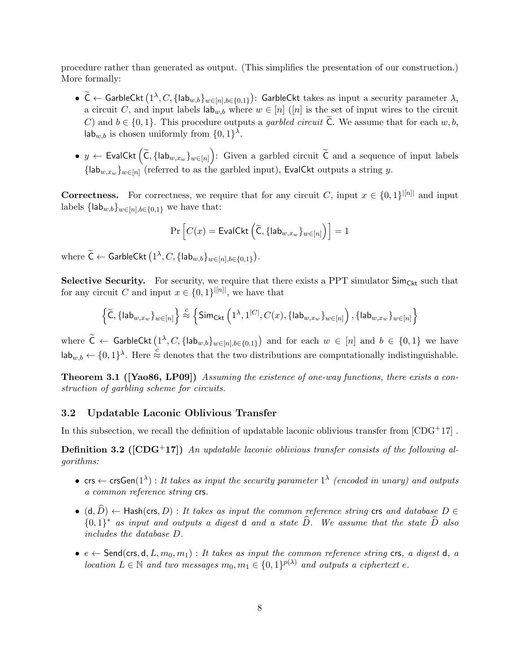procedure rather than generated as output. (This simplifies the presentation of our construction.) More formally:

- $\widetilde{C}$  ← GarbleCkt  $(1^{\lambda}, C, \{\mathsf{lab}_{w,b}\}_{w \in [n], b \in \{0,1\}})$ : GarbleCkt takes as input a security parameter  $\lambda$ , a circuit C, and input labels  $\mathsf{lab}_{w,b}$  where  $w \in [n]$  ([n] is the set of input wires to the circuit C) and  $b \in \{0, 1\}$ . This procedure outputs a *garbled circuit* C. We assume that for each w, b,  $\mathsf{lab}_{w,b}$  is chosen uniformly from  $\{0,1\}^{\lambda}$ .
- $y \leftarrow \textsf{EvalCkt} \left( \widetilde{\textsf{C}}, \{\textsf{lab}_{w,x_w}\}_{w \in [n]} \right)$ : Given a garbled circuit  $\widetilde{\textsf{C}}$  and a sequence of input labels  ${\{\mathsf{lab}_{w,x_w}\}}_{w\in[n]}$  (referred to as the garbled input), EvalCkt outputs a string y.

**Correctness.** For correctness, we require that for any circuit C, input  $x \in \{0,1\}^{|[n]|}$  and input labels  $\{\mathsf{lab}_w, \mathsf{b}\}_{w \in [n], \mathsf{b} \in \{0,1\}}$  we have that:

$$
\Pr\Big[C(x) = \text{EvalCkt}\left(\widetilde{\mathsf{C}}, \{\textsf{lab}_{w,x_w}\}_{w \in [n]}\right)\Big] = 1
$$

where  $\widetilde{\mathsf{C}} \leftarrow \mathsf{GarbleCkt}\left(1^\lambda, C, \{\mathsf{lab}_{w,b}\}_{w\in[n],b\in\{0,1\}}\right)$ .

Selective Security. For security, we require that there exists a PPT simulator  $Sim_{Ckt}$  such that for any circuit C and input  $x \in \{0,1\}^{|[n]|}$ , we have that

$$
\left\{\widetilde{\mathsf{C}}, \{\mathsf{lab}_{w,x_w}\}_{w\in[n]}\right\} \stackrel{c}{\approx} \left\{\mathsf{Sim}_{\mathsf{Ckt}}\left(1^\lambda,1^{|C|},C(x),\{\mathsf{lab}_{w,x_w}\}_{w\in[n]}\right), \{\mathsf{lab}_{w,x_w}\}_{w\in[n]}\right\}
$$

where  $\widetilde{C} \leftarrow$  GarbleCkt  $(1^{\lambda}, C, \{\mathsf{lab}_{w,b}\}_{w \in [n], b \in \{0,1\}})$  and for each  $w \in [n]$  and  $b \in \{0,1\}$  we have  $\mathsf{lab}_{w,b} \leftarrow \{0,1\}^{\lambda}$ . Here  $\stackrel{c}{\approx}$  denotes that the two distributions are computationally indistinguishable.

**Theorem 3.1 ([Yao86, LP09])** Assuming the existence of one-way functions, there exists a construction of garbling scheme for circuits.

### 3.2 Updatable Laconic Oblivious Transfer

In this subsection, we recall the definition of updatable laconic oblivious transfer from  $[CDG+17]$ .

**Definition 3.2** ([CDG<sup>+</sup>17]) An updatable laconic oblivious transfer consists of the following algorithms:

- crs  $\leftarrow$  crsGen(1<sup> $\lambda$ </sup>) : It takes as input the security parameter 1<sup> $\lambda$ </sup> (encoded in unary) and outputs a common reference string crs.
- (d,  $\widehat{D}$ ) ← Hash(crs, D) : It takes as input the common reference string crs and database  $D \in$  ${0,1}^*$  as input and outputs a digest d and a state  $\widehat{D}$ . We assume that the state  $\widehat{D}$  also includes the database D.
- $e \leftarrow$  Send(crs, d, L,  $m_0, m_1$ ) : It takes as input the common reference string crs, a digest d, a location  $L \in \mathbb{N}$  and two messages  $m_0, m_1 \in \{0, 1\}^{p(\lambda)}$  and outputs a ciphertext e.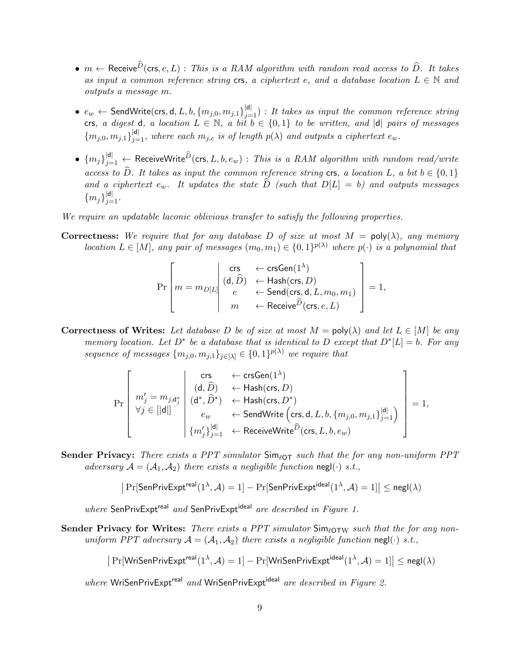- $m \leftarrow$  Receive<sup>D</sup>(crs, e, L): This is a RAM algorithm with random read access to  $\widehat{D}$ . It takes as input a common reference string crs, a ciphertext e, and a database location  $L \in \mathbb{N}$  and outputs a message m.
- $e_w \leftarrow$  SendWrite(crs, d, L, b,  $\{m_{j,0}, m_{j,1}\}_{j=1}^{|\mathsf{d}|}$ ) : It takes as input the common reference string crs, a digest d, a location  $L \in \mathbb{N}$ , a bit  $b \in \{0,1\}$  to be written, and |d| pairs of messages  ${m_{j,0}, m_{j,1}}_{j=1}^{|\mathbf{d}|}$ , where each  $m_{j,c}$  is of length  $p(\lambda)$  and outputs a ciphertext  $e_w$ .
- $\bullet$   $\{m_j\}_{j=1}^{|\mathsf{d}|} \leftarrow$  ReceiveWrite $\widehat{^D}(\mathsf{crs},L,b,e_w)$  :  $This$  is a  $RAM$  algorithm with random read/write access to  $\widehat{D}$ . It takes as input the common reference string crs, a location L, a bit  $b \in \{0,1\}$ and a ciphertext  $e_w$ . It updates the state D (such that  $D[L] = b$ ) and outputs messages  ${m_j}_{j=1}^{|d|}$ .

We require an updatable laconic oblivious transfer to satisfy the following properties.

**Correctness:** We require that for any database D of size at most  $M = \text{poly}(\lambda)$ , any memory location  $L \in [M]$ , any pair of messages  $(m_0, m_1) \in \{0, 1\}^{p(\lambda)}$  where  $p(\cdot)$  is a polynomial that

$$
\Pr\left[m=m_{D[L]}\middle|\begin{array}{ccc} \mathsf{crs} &\leftarrow\mathsf{crsGen}(1^{\lambda})\\ (\mathsf{d},\widehat{D}) &\leftarrow\mathsf{Hash}(\mathsf{crs},D)\\ e&\leftarrow\mathsf{Send}(\mathsf{crs},\mathsf{d},L,m_0,m_1)\\ m&\leftarrow\mathsf{Receive}^{\widehat{D}}(\mathsf{crs},e,L)\end{array}\right\}\right]=1,
$$

Correctness of Writes: Let database D be of size at most  $M = poly(\lambda)$  and let  $L \in [M]$  be any memory location. Let D<sup>\*</sup> be a database that is identical to D except that  $D^*[L] = b$ . For any sequence of messages  $\{m_{j,0}, m_{j,1}\}_{j\in[\lambda]} \in \{0,1\}^{p(\lambda)}$  we require that

$$
\Pr\left[\begin{array}{c} \text{crs} & \leftarrow \text{crsGen}(1^{\lambda}) \\ (d,\widehat{D}) & \leftarrow \text{Hash}(\text{crs},D) \\ \forall j \in [|{\bf d}|] \end{array}\middle|\begin{array}{c} \text{crs} & \leftarrow \text{crsGen}(1^{\lambda}) \\ (d,\widehat{D}) & \leftarrow \text{Hash}(\text{crs},D) \\ (d^*,\widehat{D}^*) & \leftarrow \text{Hash}(\text{crs},D^*) \\ \leftarrow \text{SendWrite}\left(\text{crs},{\bf d},L,b,\{m_{j,0},m_{j,1}\}_{j=1}^{|{\bf d}|}\right) \\ \left\lbrace m'_j \right\rbrace_{j=1}^{|{\bf d}|} & \leftarrow \text{ReceiveWrite} \widehat{D}(\text{crs},L,b,e_w) \end{array}\right\rbrace\right] = 1,
$$

**Sender Privacy:** There exists a PPT simulator  $\text{Sim}_{\ell O\mathcal{T}}$  such that the for any non-uniform PPT adversary  $A = (A_1, A_2)$  there exists a negligible function negl(.) s.t.,

$$
\left| \Pr[\mathsf{SenPrivExpt}^{\mathsf{real}}(1^{\lambda}, \mathcal{A}) = 1] - \Pr[\mathsf{SenPrivExpt}^{\mathsf{ideal}}(1^{\lambda}, \mathcal{A}) = 1] \right| \le \mathsf{negl}(\lambda)
$$

 $where$  SenPrivExpt<sup>real</sup> and SenPrivExpt<sup>ideal</sup> are described in Figure 1.

**Sender Privacy for Writes:** There exists a PPT simulator  $\text{Sim}_{\ell\text{OTW}}$  such that the for any nonuniform PPT adversary  $A = (A_1, A_2)$  there exists a negligible function negl( $\cdot$ ) s.t.,

 $|\Pr[\mathsf{WriSenPrivExpt}^{\mathsf{real}}(1^{\lambda}, \mathcal{A}) = 1] - \Pr[\mathsf{WriSenPrivExpt}^{\mathsf{ideal}}(1^{\lambda}, \mathcal{A}) = 1]| \leq \mathsf{negl}(\lambda)$ 

where WriSenPrivExpt<sup>real</sup> and WriSenPrivExpt<sup>ideal</sup> are described in Figure 2.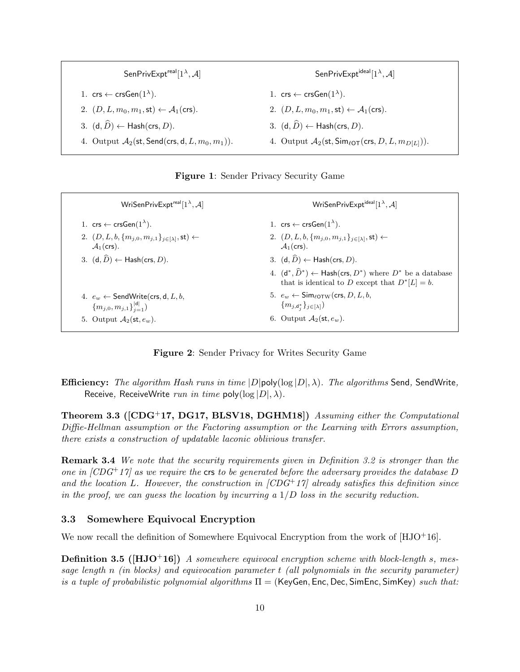

| Figure 1: Sender Privacy Security Game |
|----------------------------------------|
|----------------------------------------|

| WriSenPrivExpt <sup>real</sup> $[1^{\lambda}, \mathcal{A}]$                                            | WriSenPrivExptideal $[1^{\lambda}, \mathcal{A}]$                                                                                      |  |  |
|--------------------------------------------------------------------------------------------------------|---------------------------------------------------------------------------------------------------------------------------------------|--|--|
| 1. crs $\leftarrow$ crsGen $(1^{\lambda})$ .                                                           | 1. crs $\leftarrow$ crsGen $(1^{\lambda})$ .                                                                                          |  |  |
| 2. $(D, L, b, \{m_{j,0}, m_{j,1}\}_{j\in[\lambda]}, \mathsf{st}) \leftarrow$<br>$\mathcal{A}_1$ (crs). | 2. $(D, L, b, \{m_{j,0}, m_{j,1}\}_{j \in [\lambda]}, \mathsf{st}) \leftarrow$<br>$\mathcal{A}_1$ (crs).                              |  |  |
| 3. $(d, \widehat{D}) \leftarrow$ Hash(crs, D).                                                         | 3. $(d, \widehat{D}) \leftarrow$ Hash(crs, D).                                                                                        |  |  |
|                                                                                                        | 4. $(d^*, \widehat{D}^*) \leftarrow$ Hash(crs, $D^*$ ) where $D^*$ be a database<br>that is identical to D except that $D^*[L] = b$ . |  |  |
| 4. $e_w \leftarrow$ SendWrite(crs, d, L, b,<br>${m_{j,0}, m_{j,1}}_{i=1}^{ d }$                        | 5. $e_w \leftarrow \textsf{Sim}_{\ell OTW}(\textsf{crs}, D, L, b,$<br>${m_{j,\mathsf{d}_i^*}}_{j\in[\lambda]})$                       |  |  |
| 5. Output $A_2(\mathsf{st}, e_w)$ .                                                                    | 6. Output $A_2(\mathsf{st}, e_w)$ .                                                                                                   |  |  |

Figure 2: Sender Privacy for Writes Security Game

**Efficiency:** The algorithm Hash runs in time  $|D|$ poly(log  $|D|$ ,  $\lambda$ ). The algorithms Send, SendWrite, Receive, ReceiveWrite run in time poly $(\log |D|, \lambda)$ .

**Theorem 3.3 ([CDG+17, DG17, BLSV18, DGHM18])** Assuming either the Computational Diffie-Hellman assumption or the Factoring assumption or the Learning with Errors assumption, there exists a construction of updatable laconic oblivious transfer.

**Remark 3.4** We note that the security requirements given in Definition 3.2 is stronger than the one in  $[CDG^+17]$  as we require the crs to be generated before the adversary provides the database D and the location L. However, the construction in  $\langle CDG^+17 \rangle$  already satisfies this definition since in the proof, we can quess the location by incurring a  $1/D$  loss in the security reduction.

### 3.3 Somewhere Equivocal Encryption

We now recall the definition of Somewhere Equivocal Encryption from the work of  $[HJO^+16]$ .

**Definition 3.5 ([HJO+16])** A somewhere equivocal encryption scheme with block-length s, message length n (in blocks) and equivocation parameter t (all polynomials in the security parameter) is a tuple of probabilistic polynomial algorithms  $\Pi =$  (KeyGen, Enc, Dec, SimEnc, SimKey) such that: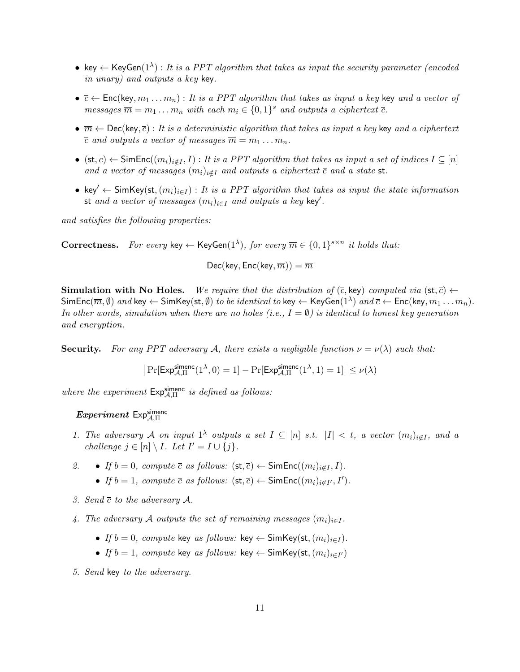- key  $\leftarrow$  KeyGen(1<sup> $\lambda$ </sup>) : It is a PPT algorithm that takes as input the security parameter (encoded in unary) and outputs a key key.
- $\bar{c} \leftarrow \text{Enc}(\text{key}, m_1 \dots m_n)$ : It is a PPT algorithm that takes as input a key key and a vector of *messages*  $\overline{m} = m_1 \dots m_n$  with each  $m_i \in \{0, 1\}^s$  and outputs a ciphertext  $\overline{c}$ .
- $\overline{m} \leftarrow$  Dec(key,  $\overline{c}$ ) : It is a deterministic algorithm that takes as input a key key and a ciphertext  $\overline{c}$  and outputs a vector of messages  $\overline{m} = m_1 \dots m_n$ .
- $(\mathsf{st}, \overline{c}) \leftarrow \mathsf{SimEnc}((m_i)_{i \notin I}, I)$  : It is a PPT algorithm that takes as input a set of indices  $I \subseteq [n]$ and a vector of messages  $(m_i)_{i \notin I}$  and outputs a ciphertext  $\bar{c}$  and a state st.
- key'  $\leftarrow$  SimKey(st, $(m_i)_{i\in I}$ ) : It is a PPT algorithm that takes as input the state information st and a vector of messages  $(m_i)_{i \in I}$  and outputs a key key'.

and satisfies the following properties:

**Correctness.** For every key  $\leftarrow$  KeyGen $(1^{\lambda})$ , for every  $\overline{m} \in \{0,1\}^{s \times n}$  it holds that:

 $Dec(key, Enc(key, \overline{m})) = \overline{m}$ 

**Simulation with No Holes.** We require that the distribution of  $(\bar{c}, \text{key})$  computed via  $(\text{st}, \bar{c}) \leftarrow$  $\mathsf{SimEnc}(\overline{m},\emptyset)$  and key  $\leftarrow \mathsf{SimKey}(\mathsf{st},\emptyset)$  to be identical to key  $\leftarrow \mathsf{KeyGen}(1^\lambda)$  and  $\overline{c} \leftarrow \mathsf{Enc}(\mathsf{key},m_1\ldots m_n).$ In other words, simulation when there are no holes (i.e.,  $I = \emptyset$ ) is identical to honest key generation and encryption.

**Security.** For any PPT adversary A, there exists a negligible function  $\nu = \nu(\lambda)$  such that:

 $|\Pr[\mathsf{Exp}_{\mathcal{A},\Pi}^{\mathsf{simple}}(1^{\lambda},0) = 1] - \Pr[\mathsf{Exp}_{\mathcal{A},\Pi}^{\mathsf{simple}}(1^{\lambda},1) = 1]| \leq \nu(\lambda)$ 

where the experiment  $Exp_{\mathcal{A},\Pi}^{\text{simenc}}$  is defined as follows:

# $Experiment$   $\mathsf{Exp}_{\mathcal{A},\Pi}^{\mathsf{simplenc}}$

- 1. The adversary A on input  $1^{\lambda}$  outputs a set  $I \subseteq [n]$  s.t.  $|I| < t$ , a vector  $(m_i)_{i \notin I}$ , and a challenge  $j \in [n] \setminus I$ . Let  $I' = I \cup \{j\}$ .
- 2. If  $b = 0$ , compute  $\overline{c}$  as follows:  $(\mathsf{st}, \overline{c}) \leftarrow \mathsf{SimEnc}((m_i)_{i \notin I}, I)$ .
	- If  $b = 1$ , compute  $\overline{c}$  as follows:  $(\mathsf{st}, \overline{c}) \leftarrow \mathsf{SimEnc}((m_i)_{i \notin I'}, I').$
- 3. Send  $\bar{c}$  to the adversary  $\mathcal{A}$ .
- 4. The adversary A outputs the set of remaining messages  $(m_i)_{i\in I}$ .
	- If  $b = 0$ , compute key as follows: key  $\leftarrow$  SimKey(st,  $(m_i)_{i \in I}$ ).
	- If  $b = 1$ , compute key as follows: key  $\leftarrow$  SimKey(st,  $(m_i)_{i \in I'}$ )
- 5. Send key to the adversary.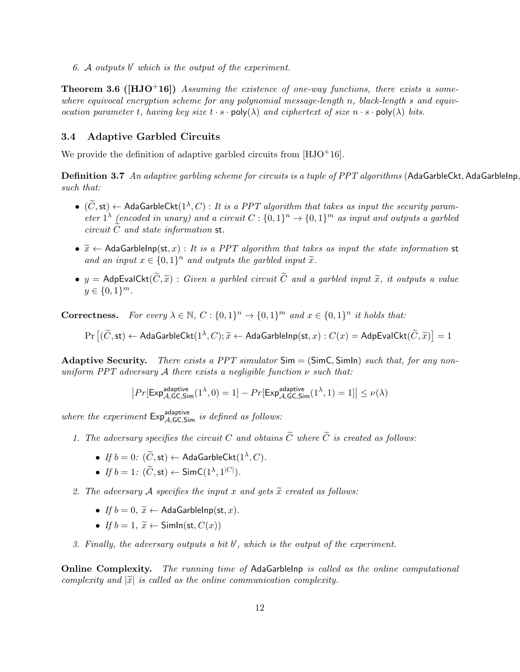$6.$  A outputs  $b'$  which is the output of the experiment.

**Theorem 3.6 ([HJO+16])** Assuming the existence of one-way functions, there exists a somewhere equivocal encryption scheme for any polynomial message-length n, black-length s and equivocation parameter t, having key size  $t \cdot s \cdot \text{poly}(\lambda)$  and ciphertext of size  $n \cdot s \cdot \text{poly}(\lambda)$  bits.

### 3.4 Adaptive Garbled Circuits

We provide the definition of adaptive garbled circuits from  $[HJO+16]$ .

Definition 3.7 An adaptive garbling scheme for circuits is a tuple of PPT algorithms (AdaGarbleCkt, AdaGarbleInp, such that:

- $(\widetilde{C}, \text{st}) \leftarrow \text{AdaGarbleCkt}(1^{\lambda}, C)$ : It is a PPT algorithm that takes as input the security parameter  $1^{\lambda}$  (encoded in unary) and a circuit  $C: \{0,1\}^n \to \{0,1\}^m$  as input and outputs a garbled circuit  $\tilde{C}$  and state information st.
- $\tilde{x} \leftarrow$  AdaGarbleInp(st, x): It is a PPT algorithm that takes as input the state information st and an input  $x \in \{0,1\}^n$  and outputs the garbled input  $\widetilde{x}$ .
- y = AdpEvalCkt $(\widetilde{C}, \widetilde{x})$ : Given a garbled circuit  $\widetilde{C}$  and a garbled input  $\widetilde{x}$ , it outputs a value  $y \in \{0,1\}^m$ .

**Correctness.** For every  $\lambda \in \mathbb{N}$ ,  $C: \{0,1\}^n \to \{0,1\}^m$  and  $x \in \{0,1\}^n$  it holds that:

 $\Pr\left[(\widetilde{C},\mathsf{st})\leftarrow \mathsf{AdaGarbleCkt}(1^\lambda,C); \widetilde{x}\leftarrow \mathsf{AdaGarbleInp}(\mathsf{st},x): C(x) = \mathsf{AdpEvalCkt}(\widetilde{C},\widetilde{x})\right] = 1$ 

Adaptive Security. There exists a PPT simulator  $Sim = (SimC, SimIn)$  such that, for any nonuniform PPT adversary A there exists a negligible function  $\nu$  such that:

$$
\big|Pr[\text{Exp}_{\mathcal{A},\text{GC},\text{Sim}}^{\text{adaptive}}(1^{\lambda},0)=1]-Pr[\text{Exp}_{\mathcal{A},\text{GC},\text{Sim}}^{\text{adaptive}}(1^{\lambda},1)=1]\big|\leq \nu(\lambda)
$$

where the experiment  $Exp_{A,\mathsf{GC},\mathsf{Sim}}^{\mathsf{adaptive}}$  is defined as follows:

- 1. The adversary specifies the circuit C and obtains  $\tilde{C}$  where  $\tilde{C}$  is created as follows:
	- If  $b = 0$ :  $(\widetilde{C}, \text{st}) \leftarrow \text{AdaGarbleCkt}(1^{\lambda}, C)$ .
	- If  $b = 1$ :  $(\widetilde{C}, \text{st}) \leftarrow \text{SimC}(1^{\lambda}, 1^{|C|}).$
- 2. The adversary A specifies the input x and gets  $\tilde{x}$  created as follows:
	- If  $b = 0$ ,  $\widetilde{x} \leftarrow$  AdaGarbleInp(st, x).
	- If  $b = 1$ ,  $\tilde{x} \leftarrow$  Simln(st,  $C(x)$ )
- 3. Finally, the adversary outputs a bit  $b'$ , which is the output of the experiment.

Online Complexity. The running time of AdaGarbleInp is called as the online computational complexity and  $|\tilde{x}|$  is called as the online communication complexity.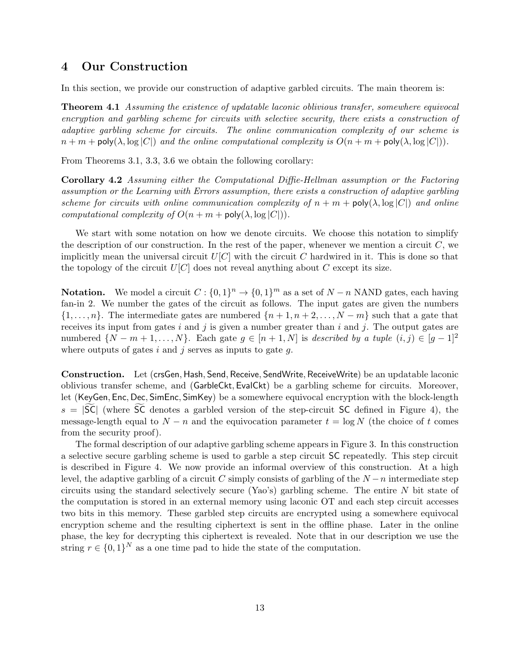# 4 Our Construction

In this section, we provide our construction of adaptive garbled circuits. The main theorem is:

Theorem 4.1 Assuming the existence of updatable laconic oblivious transfer, somewhere equivocal encryption and garbling scheme for circuits with selective security, there exists a construction of adaptive garbling scheme for circuits. The online communication complexity of our scheme is  $n + m + \text{poly}(\lambda, \log |C|)$  and the online computational complexity is  $O(n + m + \text{poly}(\lambda, \log |C|))$ .

From Theorems 3.1, 3.3, 3.6 we obtain the following corollary:

Corollary 4.2 Assuming either the Computational Diffie-Hellman assumption or the Factoring assumption or the Learning with Errors assumption, there exists a construction of adaptive garbling scheme for circuits with online communication complexity of  $n + m + \text{poly}(\lambda, \log |C|)$  and online computational complexity of  $O(n + m + \text{poly}(\lambda, \log |C|)).$ 

We start with some notation on how we denote circuits. We choose this notation to simplify the description of our construction. In the rest of the paper, whenever we mention a circuit  $C$ , we implicitly mean the universal circuit  $U[C]$  with the circuit C hardwired in it. This is done so that the topology of the circuit  $U[C]$  does not reveal anything about C except its size.

**Notation.** We model a circuit  $C: \{0,1\}^n \to \{0,1\}^m$  as a set of  $N - n$  NAND gates, each having fan-in 2. We number the gates of the circuit as follows. The input gates are given the numbers  $\{1,\ldots,n\}$ . The intermediate gates are numbered  $\{n+1,n+2,\ldots,N-m\}$  such that a gate that receives its input from gates  $i$  and  $j$  is given a number greater than  $i$  and  $j$ . The output gates are numbered  $\{N-m+1,\ldots,N\}$ . Each gate  $g \in [n+1,N]$  is described by a tuple  $(i,j) \in [g-1]^2$ where outputs of gates  $i$  and  $j$  serves as inputs to gate  $g$ .

Construction. Let (crsGen, Hash, Send, Receive, SendWrite, ReceiveWrite) be an updatable laconic oblivious transfer scheme, and (GarbleCkt, EvalCkt) be a garbling scheme for circuits. Moreover, let (KeyGen, Enc, Dec, SimEnc, SimKey) be a somewhere equivocal encryption with the block-length  $s = |SC|$  (where SC denotes a garbled version of the step-circuit SC defined in Figure 4), the message-length equal to  $N - n$  and the equivocation parameter  $t = \log N$  (the choice of t comes from the security proof).

The formal description of our adaptive garbling scheme appears in Figure 3. In this construction a selective secure garbling scheme is used to garble a step circuit SC repeatedly. This step circuit is described in Figure 4. We now provide an informal overview of this construction. At a high level, the adaptive garbling of a circuit C simply consists of garbling of the  $N-n$  intermediate step circuits using the standard selectively secure (Yao's) garbling scheme. The entire N bit state of the computation is stored in an external memory using laconic OT and each step circuit accesses two bits in this memory. These garbled step circuits are encrypted using a somewhere equivocal encryption scheme and the resulting ciphertext is sent in the offline phase. Later in the online phase, the key for decrypting this ciphertext is revealed. Note that in our description we use the string  $r \in \{0,1\}^N$  as a one time pad to hide the state of the computation.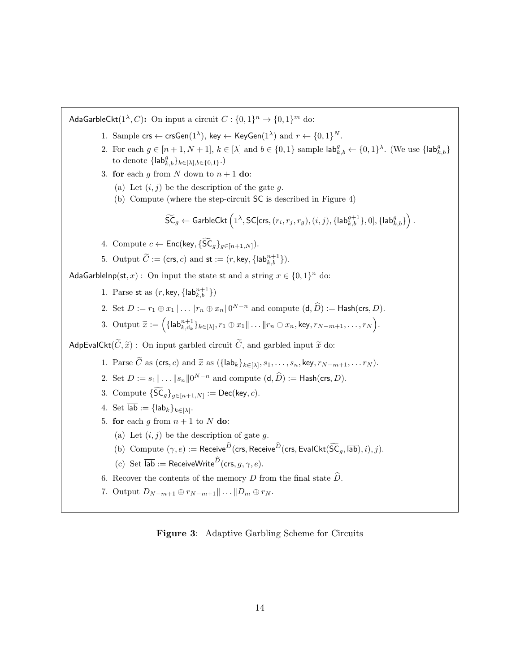AdaGarbleCkt $(1^{\lambda}, C)$ : On input a circuit  $C: \{0, 1\}^n \to \{0, 1\}^m$  do: 1. Sample  $\mathsf{crs} \leftarrow \mathsf{crsGen}(1^{\lambda}), \mathsf{key} \leftarrow \mathsf{KeyGen}(1^{\lambda}) \text{ and } r \leftarrow \{0, 1\}^N.$ 2. For each  $g \in [n+1, N+1]$ ,  $k \in [\lambda]$  and  $b \in \{0,1\}$  sample  $\mathsf{lab}_{k,b}^g \leftarrow \{0,1\}^{\lambda}$ . (We use  $\{\mathsf{lab}_{k,b}^g\}$ to denote  $\{\mathsf{lab}^g_{k,b}\}_{k\in[\lambda],b\in\{0,1\}}$ .) 3. for each g from N down to  $n + 1$  do: (a) Let  $(i, j)$  be the description of the gate q. (b) Compute (where the step-circuit SC is described in Figure 4)  $\widetilde{\mathsf{SC}}_g \gets \mathsf{GarbleCkt}\left(1^\lambda,\mathsf{SC}[\mathsf{crs},(r_i,r_j,r_g),(i,j),\{\mathsf{lab}^{g+1}_{k,b}\},0],\{\mathsf{lab}^g_{k,b}\}\right).$ 4. Compute  $c \leftarrow \mathsf{Enc}(\mathsf{key}, \{ \widetilde{\mathsf{SC}}_q \}_{q \in [n+1,N]}).$ 5. Output  $\widetilde{C} := (\mathsf{crs}, c)$  and  $\mathsf{st} := (r, \mathsf{key}, \{\mathsf{lab}_{k,b}^{n+1}\}).$ AdaGarbleInp(st, x) : On input the state st and a string  $x \in \{0,1\}^n$  do: 1. Parse st as  $(r, \text{key}, {\{\text{lab}_{k,b}^{n+1}\}})$ 2. Set  $D := r_1 \oplus x_1 \Vert \dots \Vert r_n \oplus x_n \Vert 0^{N-n}$  and compute  $(d, \widehat{D}) := \mathsf{Hash}(\mathsf{crs}, D)$ . 3. Output  $\widetilde{x} := \left( \{ [\mathsf{lab}_{k,\mathsf{d}_k}^{n+1}]_{k \in [\lambda]}, r_1 \oplus x_1 \Vert \dots \Vert r_n \oplus x_n, \mathsf{key}, r_{N-m+1}, \dots, r_N \right)$ . AdpEvalCkt( $\widetilde{C}, \widetilde{x}$ ): On input garbled circuit  $\widetilde{C}$ , and garbled input  $\widetilde{x}$  do: 1. Parse C as (crs, c) and  $\tilde{x}$  as ({lab<sub>k</sub>}<sub>k∈[ $\lambda$ ]</sub>,  $s_1, \ldots, s_n$ , key,  $r_{N-m+1}, \ldots r_N$ ). 2. Set  $D := s_1 || \dots ||s_n|| 0^{N-n}$  and compute  $(d, \widehat{D}) := \mathsf{Hash}(\mathsf{crs}, D)$ . 3. Compute  $\{\mathsf{SC}_g\}_{g \in [n+1,N]} := \mathsf{Dec}(\mathsf{key}, c)$ . 4. Set lab :=  $\{\mathsf{lab}_k\}_{k\in[\lambda]}.$ 5. for each g from  $n + 1$  to N do: (a) Let  $(i, j)$  be the description of gate g. (b) Compute  $(\gamma, e) := \textsf{Receive}^D(\textsf{crs}, \textsf{Receive}^D(\textsf{crs}, \textsf{EvalCkt}(\widetilde{SC}_g, \overline{\textsf{lab}}), i), j).$ (c) Set  $\overline{lab} := \text{ReceiveWrite}^D(\text{crs}, g, \gamma, e)$ . 6. Recover the contents of the memory D from the final state  $\widehat{D}$ . 7. Output  $D_{N-m+1} \oplus r_{N-m+1} \dots \parallel D_m \oplus r_N$ .

Figure 3: Adaptive Garbling Scheme for Circuits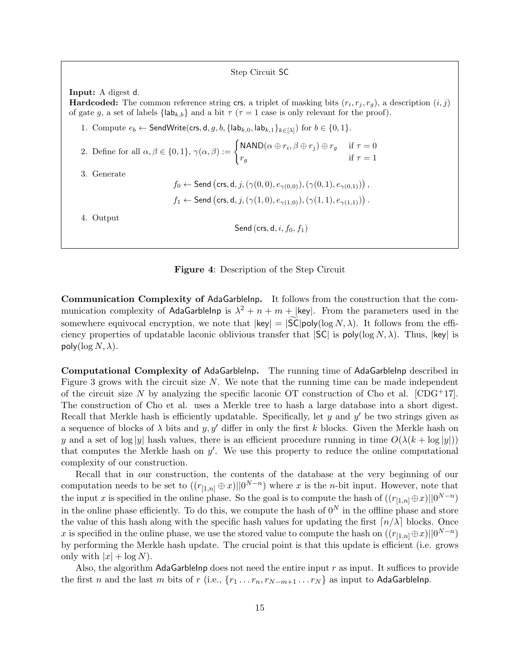Step Circuit SC Input: A digest d. **Hardcoded:** The common reference string crs, a triplet of masking bits  $(r_i, r_j, r_g)$ , a description  $(i, j)$ of gate g, a set of labels  $\{\mathsf{lab}_{k,b}\}\$  and a bit  $\tau$  ( $\tau = 1$  case is only relevant for the proof). 1. Compute  $e_b \leftarrow$  SendWrite(crs, d, g, b, {lab<sub>k,0</sub>, lab<sub>k,1</sub>}<sub>k∈[ $\lambda$ ]</sub>) for  $b \in \{0, 1\}$ . 2. Define for all  $\alpha, \beta \in \{0,1\}, \gamma(\alpha, \beta) := \begin{cases} \text{NAND}(\alpha \oplus r_i, \beta \oplus r_j) \oplus r_g & \text{if } \tau = 0 \\ 0 & \text{if } \tau = 1 \end{cases}$  $r_g$  if  $\tau = 1$ 3. Generate  $f_0 \leftarrow$  Send  $\big($ crs, d,  $j$ ,  $(\gamma(0,0), e_{\gamma(0,0)}), (\gamma(0,1), e_{\gamma(0,1)})\big)$ ,  $f_1 \leftarrow \mathsf{Send}\left(\mathsf{crs},\mathsf{d},j,(\gamma(1,0),e_{\gamma(1,0)}),(\gamma(1,1),e_{\gamma(1,1)})\right).$ 4. Output Send (crs, d,  $i, f_0, f_1$ )



Communication Complexity of AdaGarbleInp. It follows from the construction that the communication complexity of AdaGarbleInp is  $\lambda^2 + n + m + |\text{key}|$ . From the parameters used in the somewhere equivocal encryption, we note that  $|\text{key}| = |\tilde{SC}|$ poly $(\log N, \lambda)$ . It follows from the efficiency properties of updatable laconic oblivious transfer that  $|SC|$  is poly(log N,  $\lambda$ ). Thus,  $|key|$  is poly( $\log N$ ,  $\lambda$ ).

Computational Complexity of AdaGarbleInp. The running time of AdaGarbleInp described in Figure 3 grows with the circuit size  $N$ . We note that the running time can be made independent of the circuit size N by analyzing the specific laconic OT construction of Cho et al.  $[CDG^+17]$ . The construction of Cho et al. uses a Merkle tree to hash a large database into a short digest. Recall that Merkle hash is efficiently updatable. Specifically, let  $y$  and  $y'$  be two strings given as a sequence of blocks of  $\lambda$  bits and  $y, y'$  differ in only the first k blocks. Given the Merkle hash on y and a set of log |y| hash values, there is an efficient procedure running in time  $O(\lambda(k + \log |y|))$ that computes the Merkle hash on  $y'$ . We use this property to reduce the online computational complexity of our construction.

Recall that in our construction, the contents of the database at the very beginning of our computation needs to be set to  $((r_{[1,n]}\oplus x)||0^{N-n})$  where x is the n-bit input. However, note that the input x is specified in the online phase. So the goal is to compute the hash of  $((r_{[1,n]}\oplus x)||0^{N-n})$ in the online phase efficiently. To do this, we compute the hash of  $0^N$  in the offline phase and store the value of this hash along with the specific hash values for updating the first  $\lceil n/\lambda \rceil$  blocks. Once x is specified in the online phase, we use the stored value to compute the hash on  $((r_{[1,n]}\oplus x)||0^{N-n})$ by performing the Merkle hash update. The crucial point is that this update is efficient (i.e. grows only with  $|x| + \log N$ .

Also, the algorithm AdaGarblelnp does not need the entire input  $r$  as input. It suffices to provide the first n and the last m bits of r (i.e.,  $\{r_1 \ldots r_n, r_{N-m+1} \ldots r_N\}$  as input to AdaGarbleInp.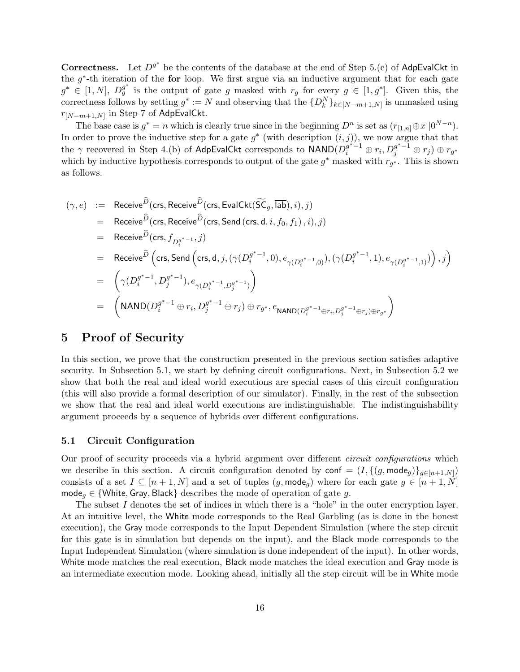**Correctness.** Let  $D^{g^*}$  be the contents of the database at the end of Step 5.(c) of AdpEvalCkt in the  $g^*$ -th iteration of the for loop. We first argue via an inductive argument that for each gate  $g^* \in [1, N], D_g^{g^*}$  is the output of gate g masked with  $r_g$  for every  $g \in [1, g^*]$ . Given this, the correctness follows by setting  $g^* := N$  and observing that the  $\{D_k^N\}_{k \in [N-m+1,N]}$  is unmasked using  $r_{[N-m+1,N]}$  in Step 7 of AdpEvalCkt.

The base case is  $g^* = n$  which is clearly true since in the beginning  $D^n$  is set as  $(r_{[1,n]}\oplus x||0^{N-n})$ . In order to prove the inductive step for a gate  $g^*$  (with description  $(i, j)$ ), we now argue that that the  $\gamma$  recovered in Step 4.(b) of AdpEvalCkt corresponds to NAND( $D_i^{g^*-1} \oplus r_i, D_j^{g^*-1} \oplus r_j$ )  $\oplus r_{g^*}$ which by inductive hypothesis corresponds to output of the gate  $g^*$  masked with  $r_{g^*}$ . This is shown as follows.

$$
\begin{array}{rcl} (\gamma,e) & := & \text{Receive}^{\tilde{D}}(\text{crs, Receive}^{\tilde{D}}(\text{crs, EvalCkt}(\widetilde{SC}_{g}, \overline{\text{lab}}), i), j) \\ \\ & = & \text{Receive}^{\tilde{D}}(\text{crs, Receive}^{\tilde{D}}(\text{crs, Send (crs, d, i, f_0, f_1), i), j) \\ \\ & = & \text{Receive}^{\tilde{D}}\left(\text{crs, }f_{D_i^{g^*-1}}, j\right) \\ \\ & = & \text{Receive}^{\tilde{D}}\left(\text{crs, Send}\left(\text{crs, d}, j, (\gamma(D_i^{g^*-1}, 0), e_{\gamma(D_i^{g^*-1}, 0}), (\gamma(D_i^{g^*-1}, 1), e_{\gamma(D_i^{g^*-1}, 1)})\right), j\right) \\ \\ & = & \left(\gamma(D_i^{g^*-1}, D_j^{g^*-1}), e_{\gamma(D_i^{g^*-1}, D_j^{g^*-1})}\right) \\ \\ & = & \left(\text{NAND}(D_i^{g^*-1} \oplus r_i, D_j^{g^*-1} \oplus r_j) \oplus r_{g^*}, e_{\text{NAND}(D_i^{g^*-1} \oplus r_i, D_j^{g^*-1} \oplus r_j) \oplus r_{g^*}}\right) \end{array}
$$

# 5 Proof of Security

In this section, we prove that the construction presented in the previous section satisfies adaptive security. In Subsection 5.1, we start by defining circuit configurations. Next, in Subsection 5.2 we show that both the real and ideal world executions are special cases of this circuit configuration (this will also provide a formal description of our simulator). Finally, in the rest of the subsection we show that the real and ideal world executions are indistinguishable. The indistinguishability argument proceeds by a sequence of hybrids over different configurations.

# 5.1 Circuit Configuration

Our proof of security proceeds via a hybrid argument over different *circuit configurations* which we describe in this section. A circuit configuration denoted by  $\text{conf} = (I, \{(g, \text{mode}_g)\}_{g \in [n+1,N]})$ consists of a set  $I \subseteq [n+1, N]$  and a set of tuples  $(g, \text{mode}_g)$  where for each gate  $g \in [n+1, N]$ mode<sub>g</sub>  $\in$  {White, Gray, Black} describes the mode of operation of gate g.

The subset I denotes the set of indices in which there is a "hole" in the outer encryption layer. At an intuitive level, the White mode corresponds to the Real Garbling (as is done in the honest execution), the Gray mode corresponds to the Input Dependent Simulation (where the step circuit for this gate is in simulation but depends on the input), and the Black mode corresponds to the Input Independent Simulation (where simulation is done independent of the input). In other words, White mode matches the real execution, Black mode matches the ideal execution and Gray mode is an intermediate execution mode. Looking ahead, initially all the step circuit will be in White mode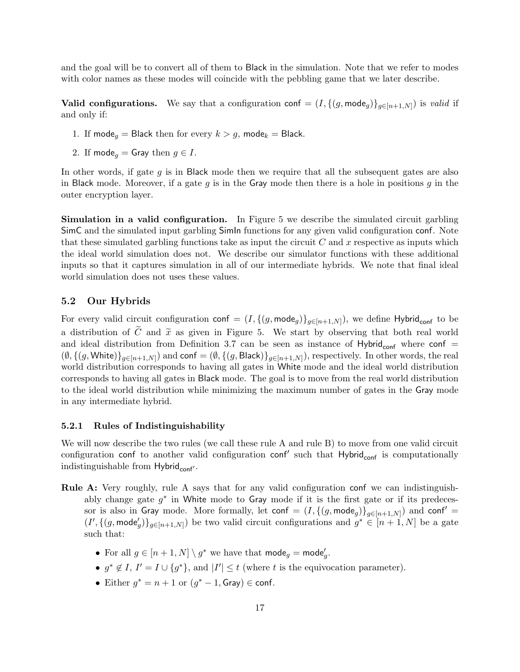and the goal will be to convert all of them to Black in the simulation. Note that we refer to modes with color names as these modes will coincide with the pebbling game that we later describe.

**Valid configurations.** We say that a configuration conf =  $(I, \{(g, \text{mode}_g)\}_{g \in [n+1,N]})$  is valid if and only if:

- 1. If mode<sub>g</sub> = Black then for every  $k > g$ , mode<sub>k</sub> = Black.
- 2. If mode<sub>q</sub> = Gray then  $q \in I$ .

In other words, if gate  $g$  is in Black mode then we require that all the subsequent gates are also in Black mode. Moreover, if a gate q is in the Gray mode then there is a hole in positions q in the outer encryption layer.

Simulation in a valid configuration. In Figure 5 we describe the simulated circuit garbling SimC and the simulated input garbling SimIn functions for any given valid configuration conf. Note that these simulated garbling functions take as input the circuit  $C$  and  $x$  respective as inputs which the ideal world simulation does not. We describe our simulator functions with these additional inputs so that it captures simulation in all of our intermediate hybrids. We note that final ideal world simulation does not uses these values.

### 5.2 Our Hybrids

For every valid circuit configuration  $\textsf{conf} = (I, \{(g, \textsf{mode}_g)\}_{g \in [n+1,N]})$ , we define Hybrid<sub>conf</sub> to be a distribution of  $\tilde{C}$  and  $\tilde{x}$  as given in Figure 5. We start by observing that both real world and ideal distribution from Definition 3.7 can be seen as instance of Hybrid<sub>conf</sub> where conf =  $(\emptyset, \{(g, \text{White})\}_{g \in [n+1,N]})$  and conf =  $(\emptyset, \{(g, \text{Black})\}_{g \in [n+1,N]})$ , respectively. In other words, the real world distribution corresponds to having all gates in White mode and the ideal world distribution corresponds to having all gates in Black mode. The goal is to move from the real world distribution to the ideal world distribution while minimizing the maximum number of gates in the Gray mode in any intermediate hybrid.

#### 5.2.1 Rules of Indistinguishability

We will now describe the two rules (we call these rule A and rule B) to move from one valid circuit configuration conf to another valid configuration conf' such that Hybrid<sub>conf</sub> is computationally indistinguishable from  $Hybrid_{conf'}$ .

- Rule A: Very roughly, rule A says that for any valid configuration conf we can indistinguishably change gate  $g^*$  in White mode to Gray mode if it is the first gate or if its predecessor is also in Gray mode. More formally, let conf =  $(I, \{(g, \text{mode}_g)\}_{g \in [n+1,N]})$  and conf' =  $(I', \{(g, \text{mode}'_g)\}_{g \in [n+1,N]})$  be two valid circuit configurations and  $g^* \in [n+1,N]$  be a gate such that:
	- For all  $g \in [n+1, N] \setminus g^*$  we have that  $\mathsf{mode}_g = \mathsf{mode}_g'.$
	- $g^* \notin I$ ,  $I' = I \cup \{g^*\}$ , and  $|I'| \leq t$  (where t is the equivocation parameter).
	- Either  $g^* = n + 1$  or  $(g^* 1, Gray) \in \text{conf.}$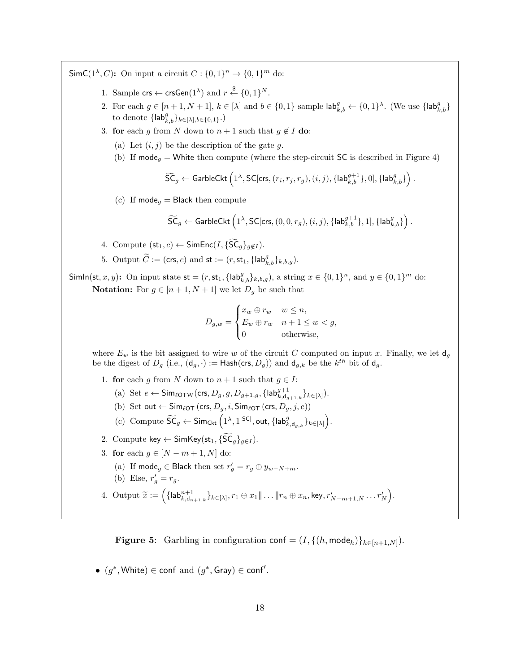$\textsf{SimC}(1^{\lambda}, C)$ : On input a circuit  $C: \{0,1\}^n \to \{0,1\}^m$  do:

- 1. Sample  $\mathsf{crs} \leftarrow \mathsf{crsGen}(1^{\lambda})$  and  $r \stackrel{\$}{\leftarrow} \{0,1\}^N$ .
- 2. For each  $g \in [n+1, N+1]$ ,  $k \in [\lambda]$  and  $b \in \{0,1\}$  sample  $\mathsf{lab}_{k,b}^g \leftarrow \{0,1\}^{\lambda}$ . (We use  $\{\mathsf{lab}_{k,b}^g\}$ to denote  $\{\mathsf{lab}^g_{k,b}\}_{k\in[\lambda],b\in\{0,1\}}$ .)
- 3. for each g from N down to  $n + 1$  such that  $g \notin I$  do:
	- (a) Let  $(i, j)$  be the description of the gate q.
	- (b) If mode<sub>g</sub> = White then compute (where the step-circuit SC is described in Figure 4)

$$
\widetilde{\mathsf{SC}}_g \gets \mathsf{GarbleCkt}\left(1^{\lambda}, \mathsf{SC}[\mathsf{crs},(r_i,r_j,r_g),(i,j),\{\mathsf{lab}^{g+1}_{k,b}\},0], \{\mathsf{lab}^g_{k,b}\}\right).
$$

(c) If  $\text{mode}_q = \text{Black}$  then compute

$$
\widetilde{\mathsf{SC}}_g \leftarrow \mathsf{GarbleCkt}\left(1^\lambda,\mathsf{SC}[\mathsf{crs},(0,0,r_g),(i,j),\{\mathsf{lab}^{g+1}_{k,b}\},1],\{\mathsf{lab}^g_{k,b}\}\right).
$$

- 4. Compute  $(st_1, c) \leftarrow \text{SimEnc}(I, \{\widetilde{SC}_q\}_{q \notin I}).$
- 5. Output  $\widetilde{C} := (\mathsf{crs}, c)$  and  $\mathsf{st} := (r, \mathsf{st}_1, \{\mathsf{lab}^g_{k,b}\}_{k,b,g}).$

Simln(st, x, y): On input state  $\mathsf{st} = (r, \mathsf{st}_1, {\mathsf{lab}^g_{k,b}}_{k,b,g})$ , a string  $x \in \{0,1\}^n$ , and  $y \in \{0,1\}^m$  do: **Notation:** For  $g \in [n+1, N+1]$  we let  $D_g$  be such that

$$
D_{g,w} = \begin{cases} x_w \oplus r_w & w \le n, \\ E_w \oplus r_w & n+1 \le w < g, \\ 0 & \text{otherwise,} \end{cases}
$$

where  $E_w$  is the bit assigned to wire w of the circuit C computed on input x. Finally, we let  $d_g$ be the digest of  $D_g$  (i.e.,  $(d_g, \cdot) := \text{Hash}(\text{crs}, D_g)$ ) and  $d_{g,k}$  be the  $k^{th}$  bit of  $d_g$ .

- 1. for each g from N down to  $n + 1$  such that  $g \in I$ :
	- (a) Set  $e \leftarrow \mathsf{Sim}_{\ell \mathsf{OTW}}(\mathsf{crs}, D_g, g, D_{g+1,g}, \{\mathsf{lab}^{g+1}_{k,d_{g+1,k}}\}_{k \in [\lambda]})$ .
	- (b) Set out  $\leftarrow$  Sim<sub>lot</sub> (crs,  $D_g$ , i, Sim<sub>lot</sub> (crs,  $D_g$ , j, e))
	- (c) Compute  $\widetilde{SC}_g \leftarrow \mathsf{Sim}_{\mathsf{Ckt}} \left(1^{\lambda}, 1^{|\mathsf{SC}|}, \mathsf{out}, \{\mathsf{lab}^g_{k,\mathsf{d}_{g,k}}\}_{k \in [\lambda]} \right)$ .
- 2. Compute key  $\leftarrow$  SimKey(st<sub>1</sub>, {SC<sub>g</sub>}<sub>g∈I</sub>).
- 3. for each  $g \in [N-m+1,N]$  do:
	- (a) If  $\text{mode}_g \in \text{Black}$  then set  $r'_g = r_g \oplus y_{w-N+m}$ .
	- (b) Else,  $r'_g = r_g$ .
- 4. Output  $\widetilde{x} := \left( \{ [\mathsf{lab}_{k,\mathsf{d}_{n+1,k}}^{n+1} \}_{k \in [\lambda]}, r_1 \oplus x_1 \Vert \dots \Vert r_n \oplus x_n, \mathsf{key}, r'_{N-m+1,N} \dots r'_N \right)$ .

**Figure 5:** Garbling in configuration  $\text{conf} = (I, \{(h, \text{mode}_h)\}_{h \in [n+1,N]})$ .

•  $(g^*, \text{White}) \in \text{conf}$  and  $(g^*, \text{Gray}) \in \text{conf}'.$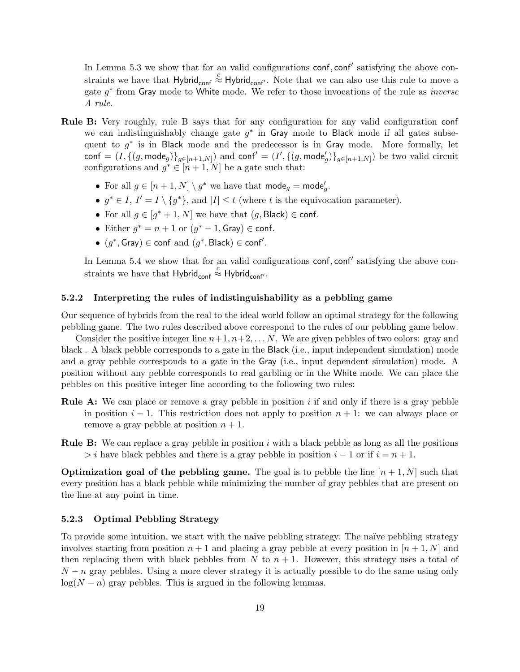In Lemma 5.3 we show that for an valid configurations conf, conf' satisfying the above constraints we have that  $H$ ybrid<sub>conf</sub>  $\stackrel{c}{\approx}$  Hybrid<sub>conf</sub>. Note that we can also use this rule to move a gate  $g^*$  from Gray mode to White mode. We refer to those invocations of the rule as *inverse* A rule.

- Rule B: Very roughly, rule B says that for any configuration for any valid configuration conf we can indistinguishably change gate  $g^*$  in Gray mode to Black mode if all gates subsequent to  $g^*$  is in Black mode and the predecessor is in Gray mode. More formally, let conf =  $(I, \{(g, \text{mode}_g)\}_{g \in [n+1,N]})$  and conf' =  $(I', \{(g, \text{mode}'_g)\}_{g \in [n+1,N]})$  be two valid circuit configurations and  $g^* \in [n+1,N]$  be a gate such that:
	- For all  $g \in [n+1, N] \setminus g^*$  we have that  $\mathsf{mode}_g = \mathsf{mode}_g'.$
	- $g^* \in I$ ,  $I' = I \setminus \{g^*\}$ , and  $|I| \leq t$  (where t is the equivocation parameter).
	- For all  $g \in [g^* + 1, N]$  we have that  $(g, Black) \in \text{conf.}$
	- Either  $g^* = n + 1$  or  $(g^* 1, Gray) \in \text{conf.}$
	- $(g^*,$  Gray)  $\in$  conf and  $(g^*,$  Black)  $\in$  conf'.

In Lemma 5.4 we show that for an valid configurations conf, conf' satisfying the above constraints we have that  $\mathsf{Hybrid}_{\mathsf{conf}} \stackrel{c}{\approx} \mathsf{Hybrid}_{\mathsf{conf}'}$ .

### 5.2.2 Interpreting the rules of indistinguishability as a pebbling game

Our sequence of hybrids from the real to the ideal world follow an optimal strategy for the following pebbling game. The two rules described above correspond to the rules of our pebbling game below.

Consider the positive integer line  $n+1, n+2, \ldots N$ . We are given pebbles of two colors: gray and black . A black pebble corresponds to a gate in the Black (i.e., input independent simulation) mode and a gray pebble corresponds to a gate in the Gray (i.e., input dependent simulation) mode. A position without any pebble corresponds to real garbling or in the White mode. We can place the pebbles on this positive integer line according to the following two rules:

- **Rule A:** We can place or remove a gray pebble in position  $i$  if and only if there is a gray pebble in position  $i - 1$ . This restriction does not apply to position  $n + 1$ : we can always place or remove a gray pebble at position  $n + 1$ .
- **Rule B:** We can replace a gray pebble in position  $i$  with a black pebble as long as all the positions  $> i$  have black pebbles and there is a gray pebble in position  $i - 1$  or if  $i = n + 1$ .

**Optimization goal of the pebbling game.** The goal is to pebble the line  $[n+1, N]$  such that every position has a black pebble while minimizing the number of gray pebbles that are present on the line at any point in time.

#### 5.2.3 Optimal Pebbling Strategy

To provide some intuition, we start with the naïve pebbling strategy. The naïve pebbling strategy involves starting from position  $n+1$  and placing a gray pebble at every position in  $[n+1,N]$  and then replacing them with black pebbles from N to  $n + 1$ . However, this strategy uses a total of  $N-n$  gray pebbles. Using a more clever strategy it is actually possible to do the same using only  $log(N - n)$  gray pebbles. This is argued in the following lemmas.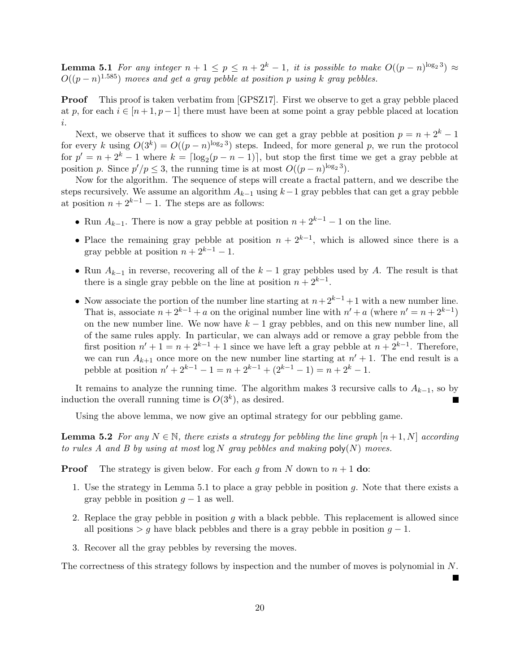**Lemma 5.1** For any integer  $n + 1 \le p \le n + 2^k - 1$ , it is possible to make  $O((p - n)^{\log_2 3}) \approx$  $O((p - n)^{1.585})$  moves and get a gray pebble at position p using k gray pebbles.

**Proof** This proof is taken verbatim from [GPSZ17]. First we observe to get a gray pebble placed at p, for each  $i \in [n+1, p-1]$  there must have been at some point a gray pebble placed at location i.

Next, we observe that it suffices to show we can get a gray pebble at position  $p = n + 2<sup>k</sup> - 1$ for every k using  $O(3^k) = O((p - n)^{\log_2 3})$  steps. Indeed, for more general p, we run the protocol for  $p' = n + 2<sup>k</sup> - 1$  where  $k = \lfloor \log_2(p - n - 1) \rfloor$ , but stop the first time we get a gray pebble at position p. Since  $p'/p \leq 3$ , the running time is at most  $O((p-n)^{\log_2 3})$ .

Now for the algorithm. The sequence of steps will create a fractal pattern, and we describe the steps recursively. We assume an algorithm  $A_{k-1}$  using  $k-1$  gray pebbles that can get a gray pebble at position  $n + 2^{k-1} - 1$ . The steps are as follows:

- Run  $A_{k-1}$ . There is now a gray pebble at position  $n + 2^{k-1} 1$  on the line.
- Place the remaining gray pebble at position  $n + 2^{k-1}$ , which is allowed since there is a gray pebble at position  $n + 2^{k-1} - 1$ .
- Run  $A_{k-1}$  in reverse, recovering all of the  $k-1$  gray pebbles used by A. The result is that there is a single gray pebble on the line at position  $n + 2^{k-1}$ .
- Now associate the portion of the number line starting at  $n+2^{k-1}+1$  with a new number line. That is, associate  $n + 2^{k-1} + a$  on the original number line with  $n' + a$  (where  $n' = n + 2^{k-1}$ ) on the new number line. We now have  $k - 1$  gray pebbles, and on this new number line, all of the same rules apply. In particular, we can always add or remove a gray pebble from the first position  $n' + 1 = n + 2^{k-1} + 1$  since we have left a gray pebble at  $n + 2^{k-1}$ . Therefore, we can run  $A_{k+1}$  once more on the new number line starting at  $n' + 1$ . The end result is a pebble at position  $n' + 2^{k-1} - 1 = n + 2^{k-1} + (2^{k-1} - 1) = n + 2^k - 1$ .

It remains to analyze the running time. The algorithm makes 3 recursive calls to  $A_{k-1}$ , so by induction the overall running time is  $O(3<sup>k</sup>)$ , as desired.

Using the above lemma, we now give an optimal strategy for our pebbling game.

**Lemma 5.2** For any  $N \in \mathbb{N}$ , there exists a strategy for pebbling the line graph  $[n+1, N]$  according to rules A and B by using at most  $\log N$  gray pebbles and making  $\text{poly}(N)$  moves.

**Proof** The strategy is given below. For each g from N down to  $n + 1$  do:

- 1. Use the strategy in Lemma 5.1 to place a gray pebble in position g. Note that there exists a gray pebble in position  $g - 1$  as well.
- 2. Replace the gray pebble in position  $g$  with a black pebble. This replacement is allowed since all positions > g have black pebbles and there is a gray pebble in position  $g - 1$ .
- 3. Recover all the gray pebbles by reversing the moves.

The correctness of this strategy follows by inspection and the number of moves is polynomial in N.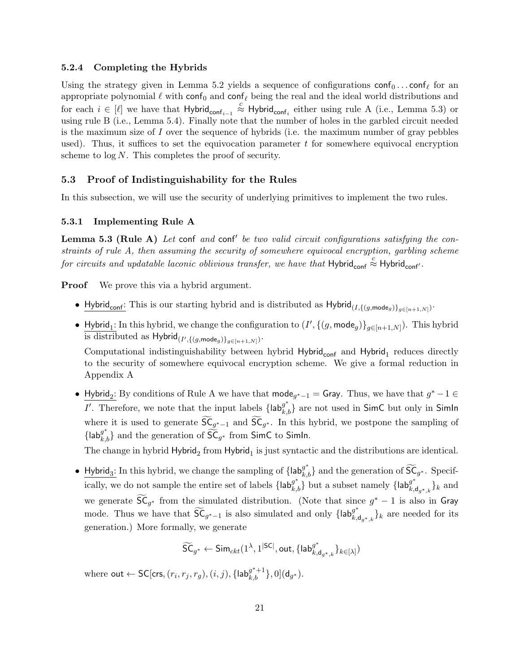#### 5.2.4 Completing the Hybrids

Using the strategy given in Lemma 5.2 yields a sequence of configurations  $\text{conf}_0 \dots \text{conf}_\ell$  for an appropriate polynomial  $\ell$  with conf<sub>0</sub> and conf<sub> $\ell$ </sub> being the real and the ideal world distributions and for each  $i \in [\ell]$  we have that Hybrid<sub>conf<sub>i-1</sub>  $\stackrel{c}{\approx}$  Hybrid<sub>conf<sub>i</sub></sub> either using rule A (i.e., Lemma 5.3) or</sub> using rule B (i.e., Lemma 5.4). Finally note that the number of holes in the garbled circuit needed is the maximum size of  $I$  over the sequence of hybrids (i.e. the maximum number of gray pebbles used). Thus, it suffices to set the equivocation parameter  $t$  for somewhere equivocal encryption scheme to  $\log N$ . This completes the proof of security.

#### 5.3 Proof of Indistinguishability for the Rules

In this subsection, we will use the security of underlying primitives to implement the two rules.

#### 5.3.1 Implementing Rule A

**Lemma 5.3 (Rule A)** Let conf and conf<sup>'</sup> be two valid circuit configurations satisfying the constraints of rule A, then assuming the security of somewhere equivocal encryption, garbling scheme for circuits and updatable laconic oblivious transfer, we have that Hybrid<sub>conf</sub><sup>c</sup> Hybrid<sub>conf</sub><sup>c</sup>.

**Proof** We prove this via a hybrid argument.

- Hybrid<sub>conf</sub>: This is our starting hybrid and is distributed as  $H$ ybrid $(I, \{(g, mode_g)\}_{g \in [n+1,N]})$ .
- Hybrid<sub>1</sub>: In this hybrid, we change the configuration to  $(I', \{(g, \text{mode}_g)\}_{g \in [n+1,N]})$ . This hybrid is distributed as  $\mathsf{Hybrid}_{(I', \{(g, \mathsf{mode}_g)\}_{g \in [n+1,N]})}.$

Computational indistinguishability between hybrid  $Hybrid<sub>conf</sub>$  and  $Hybrid<sub>1</sub>$  reduces directly to the security of somewhere equivocal encryption scheme. We give a formal reduction in Appendix A

• Hybrid<sub>2</sub>: By conditions of Rule A we have that  $\text{mode}_{g^*-1} = \text{Gray}$ . Thus, we have that  $g^*-1 \in$  $\overline{I'}$ . Therefore, we note that the input labels  $\{\textsf{lab}^{g^*}_{k,b}\}$  are not used in SimC but only in SimIn where it is used to generate  $SC_{g^*-1}$  and  $SC_{g^*}$ . In this hybrid, we postpone the sampling of  $\{\mathsf{lab}^{g^*}_{k,b}\}$  and the generation of  $\widetilde{\mathsf{SC}}_{g^*}$  from SimC to SimIn.

The change in hybrid  $Hybrid_2$  from  $Hybrid_1$  is just syntactic and the distributions are identical.

● Hybrid<sub>3</sub>: In this hybrid, we change the sampling of  $\{\text{lab}_{k,b}^{g^*}\}\$  and the generation of  $\widetilde{SC}_{g^*}$ . Specifically, we do not sample the entire set of labels  $\{\mathsf{lab}_{k,b}^{g^*}\}\$  but a subset namely  $\{\mathsf{lab}_{k,b}^{g^*}\}$  $_{k,\mathsf{d}_{g^*,k}}^g\}_k$  and we generate  $\widetilde{SC}_{g^*}$  from the simulated distribution. (Note that since  $g^* - 1$  is also in Gray mode. Thus we have that  $\widetilde{SC}_{g^*-1}$  is also simulated and only  $\{\mathsf{lab}^{g^*}_{k, q}\}$  $_{k,\mathsf{d}_{g^*,k}}^g\}_k$  are needed for its generation.) More formally, we generate

$$
\widetilde{\mathsf{SC}}_{g^*}\leftarrow \mathsf{Sim}_{ckt}(1^\lambda,1^{|\mathsf{SC}|},\mathsf{out},\{\mathsf{lab}^{g^*}_{k,\mathsf{d}_{g^*,k}}\}_{k\in[\lambda]})
$$

where  $\mathsf{out} \leftarrow \mathsf{SC}[\mathsf{crs}, (r_i, r_j, r_g), (i, j), \{\mathsf{lab}_{k, b}^{g^*+1}\}, 0] (\mathsf{d}_{g^*}).$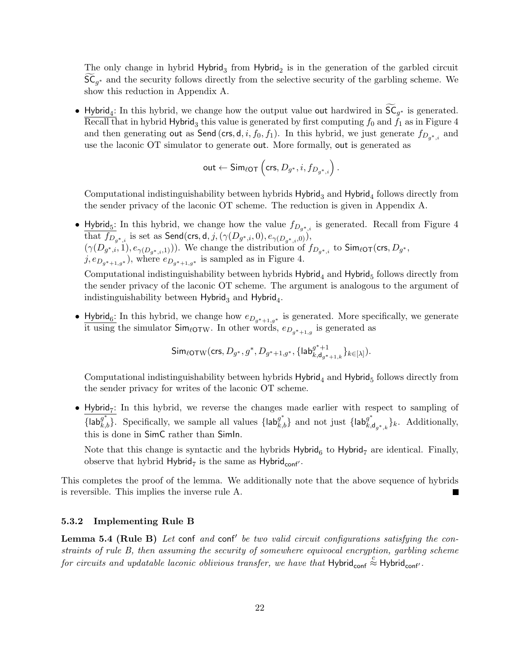The only change in hybrid  $Hybrid<sub>3</sub>$  from  $Hybrid<sub>2</sub>$  is in the generation of the garbled circuit  $SC_{g^*}$  and the security follows directly from the selective security of the garbling scheme. We show this reduction in Appendix A.

• Hybrid<sub>4</sub>: In this hybrid, we change how the output value out hardwired in  $SC_g^*$  is generated. Recall that in hybrid  $\text{Hybrid}_3$  this value is generated by first computing  $f_0$  and  $f_1$  as in Figure 4 and then generating out as Send (crs, d, i, f<sub>0</sub>, f<sub>1</sub>). In this hybrid, we just generate  $f_{D_{a^*i}}$  and use the laconic OT simulator to generate out. More formally, out is generated as

$$
\mathsf{out} \leftarrow \mathsf{Sim}_{\ell \mathsf{OT}}\left(\mathsf{crs}, D_{g^*}, i, f_{D_{g^*, i}}\right).
$$

Computational indistinguishability between hybrids  $Hybrid<sub>3</sub>$  and  $Hybrid<sub>4</sub>$  follows directly from the sender privacy of the laconic OT scheme. The reduction is given in Appendix A.

• Hybrid<sub>5</sub>: In this hybrid, we change how the value  $f_{D_{g^*,i}}$  is generated. Recall from Figure 4 that  $f_{D_{g^*,i}}$  is set as  $\mathsf{Send}(\mathsf{crs},\mathsf{d},j,(\gamma(D_{g^*,i},0),e_{\gamma(D_{g^*,i},0)}),$  $(\gamma(D_{g^*,i}, 1), e_{\gamma(D_{g^*,i},1)}))$ . We change the distribution of  $f_{D_{g^*,i}}$  to  $\mathsf{Sim}_{\ell \text{OT}}(\mathsf{crs}, D_{g^*},$  $j, e_{D_{q^*+1,q^*}}$ , where  $e_{D_{q^*+1,q^*}}$  is sampled as in Figure 4.

Computational indistinguishability between hybrids  $H$ ybrid<sub>4</sub> and  $H$ ybrid<sub>5</sub> follows directly from the sender privacy of the laconic OT scheme. The argument is analogous to the argument of indistinguishability between  $Hybrid<sub>3</sub>$  and  $Hybrid<sub>4</sub>$ .

 $\bullet$  Hybrid<sub>6</sub>: In this hybrid, we change how  $e_{D_{g^*+1,g^*}}$  is generated. More specifically, we generate it using the simulator  $\mathsf{Sim}_{\ell\text{OTW}}$ . In other words,  $e_{D_{g^*+1,g}}$  is generated as

$$
\textsf{Sim}_{\ell\textsf{OTW}}(\textsf{crs},D_{g^*},g^*,D_{g^*+1,g^*},\{\textsf{lab}^{g^*+1}_{k,\mathsf{d}_{g^*+1,k}}\}_{k\in[\lambda]}).
$$

Computational indistinguishability between hybrids  $H$ ybrid<sub>4</sub> and  $H$ ybrid<sub>5</sub> follows directly from the sender privacy for writes of the laconic OT scheme.

• Hybrid<sub>7</sub>: In this hybrid, we reverse the changes made earlier with respect to sampling of  $\overline{\{\mathsf{lab}^{g^*}_{k,b}\}}$ . Specifically, we sample all values  $\{\mathsf{lab}^{g^*}_{k,b}\}$  and not just  $\{\mathsf{lab}^{g^*}_{k,b}\}$ .  $_{k,\mathsf{d}_{g^*,k}}^g\}_k$ . Additionally, this is done in SimC rather than SimIn.

Note that this change is syntactic and the hybrids  $Hybrid<sub>6</sub>$  to  $Hybrid<sub>7</sub>$  are identical. Finally, observe that hybrid  $Hybrid<sub>7</sub>$  is the same as  $Hybrid<sub>conf'</sub>$ .

This completes the proof of the lemma. We additionally note that the above sequence of hybrids is reversible. This implies the inverse rule A. ш

### 5.3.2 Implementing Rule B

**Lemma 5.4 (Rule B)** Let conf and conf<sup> $\prime$ </sup> be two valid circuit configurations satisfying the constraints of rule B, then assuming the security of somewhere equivocal encryption, garbling scheme for circuits and updatable laconic oblivious transfer, we have that  $H$ ybrid<sub>conf</sub><sup>c</sup>  $\stackrel{c}{\approx}$  Hybrid<sub>conf</sub><sup>r</sup>.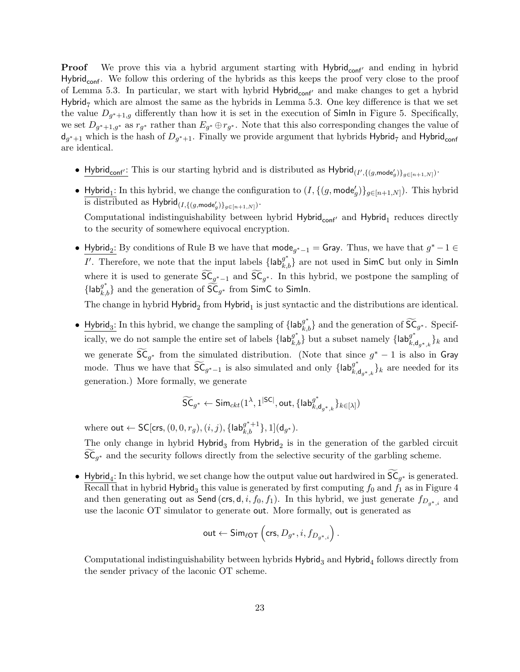**Proof** We prove this via a hybrid argument starting with  $Hybrid_{\text{conf}}$  and ending in hybrid Hybrid<sub>conf</sub>. We follow this ordering of the hybrids as this keeps the proof very close to the proof of Lemma 5.3. In particular, we start with hybrid  $Hybrid_{conf'}$  and make changes to get a hybrid Hybrid<sub>7</sub> which are almost the same as the hybrids in Lemma 5.3. One key difference is that we set the value  $D_{g^*+1,g}$  differently than how it is set in the execution of SimIn in Figure 5. Specifically, we set  $D_{g^*+1,g^*}$  as  $r_{g^*}$  rather than  $E_{g^*} \oplus r_{g^*}$ . Note that this also corresponding changes the value of  $d_{g^*+1}$  which is the hash of  $D_{g^*+1}$ . Finally we provide argument that hybrids Hybrid<sub>7</sub> and Hybrid<sub>conf</sub> are identical.

- Hybrid<sub>conf</sub>': This is our starting hybrid and is distributed as  $H$ ybrid $_{(I',\{(g,\text{mode}_g')\}_{g\in[n+1,N]})}$ .
- Hybrid<sub>1</sub>: In this hybrid, we change the configuration to  $(I, \{(g, \text{mode}'_g)\}_{g \in [n+1,N]})$ . This hybrid is distributed as  $\mathsf{Hybrid}_{(I,\{(g,\textsf{mode}'_g)\}_{g\in[n+1,N]})}.$

Computational indistinguishability between hybrid  $H$ ybrid<sub>conf</sub><sup> $\prime$ </sup> and  $H$ ybrid<sub>1</sub> reduces directly to the security of somewhere equivocal encryption.

• Hybrid<sub>2</sub>: By conditions of Rule B we have that  $\text{mode}_{g^*-1} = \text{Gray}$ . Thus, we have that  $g^*-1 \in$  $\overline{I'}$ . Therefore, we note that the input labels  $\{lab_{k,b}^{g^*}\}$  are not used in SimC but only in SimIn where it is used to generate  $SC_{g^*-1}$  and  $SC_{g^*}$ . In this hybrid, we postpone the sampling of  $\{\mathsf{lab}^{g^*}_{k,b}\}$  and the generation of  $\widetilde{\mathsf{SC}}_{g^*}$  from SimC to SimIn.

The change in hybrid  $Hybrid_2$  from  $Hybrid_1$  is just syntactic and the distributions are identical.

● Hybrid<sub>3</sub>: In this hybrid, we change the sampling of  $\{\mathsf{lab}_{k,b}^{g^*}\}\$  and the generation of  $\widetilde{SC}_{g^*}$ . Specifically, we do not sample the entire set of labels  $\{\mathsf{lab}_{k,b}^{g^*}\}$  but a subset namely  $\{\mathsf{lab}_{k,b}^{g^*}\}$  $_{k,\mathsf{d}_{g^*,k}}^g\}_k$  and we generate  $\widetilde{SC}_{g^*}$  from the simulated distribution. (Note that since  $g^* - 1$  is also in Gray mode. Thus we have that  $\widetilde{{\mathsf{SC}}}_{g^*-1}$  is also simulated and only  $\{{\mathsf{lab}}_{k,\kappa}^{g^*}\}$  $_{k,\mathsf{d}_{g^*,k}}^g\}_k$  are needed for its generation.) More formally, we generate

$$
\widetilde{\mathsf{SC}}_{g^*}\leftarrow \mathsf{Sim}_{ckt}(1^\lambda,1^{\mathsf{|SC|}},\mathsf{out},\{\mathsf{lab}^{g^*}_{k,\mathsf{d}_{g^*,k}}\}_{k\in[\lambda]})
$$

where  $\mathsf{out} \leftarrow \mathsf{SC}[\mathsf{crs}, (0,0,r_g), (i,j), \{\mathsf{lab}^{g^*+1}_{k,b}\}, 1](\mathsf{d}_{g^*}).$ 

The only change in hybrid  $Hybrid<sub>3</sub>$  from  $Hybrid<sub>2</sub>$  is in the generation of the garbled circuit  $SC_{g^*}$  and the security follows directly from the selective security of the garbling scheme.

• Hybrid<sub>4</sub>: In this hybrid, we set change how the output value out hardwired in  $SC_{g^*}$  is generated. Recall that in hybrid  $\text{Hybrid}_3$  this value is generated by first computing  $f_0$  and  $f_1$  as in Figure 4 and then generating out as Send (crs, d, i, f<sub>0</sub>, f<sub>1</sub>). In this hybrid, we just generate  $f_{D_{\sigma^*i}}$  and use the laconic OT simulator to generate out. More formally, out is generated as

$$
\mathsf{out} \leftarrow \mathsf{Sim}_{\ell \mathsf{OT}}\left(\mathsf{crs}, D_{g^*}, i, f_{D_{g^*,i}}\right).
$$

Computational indistinguishability between hybrids  $Hybrid<sub>3</sub>$  and  $Hybrid<sub>4</sub>$  follows directly from the sender privacy of the laconic OT scheme.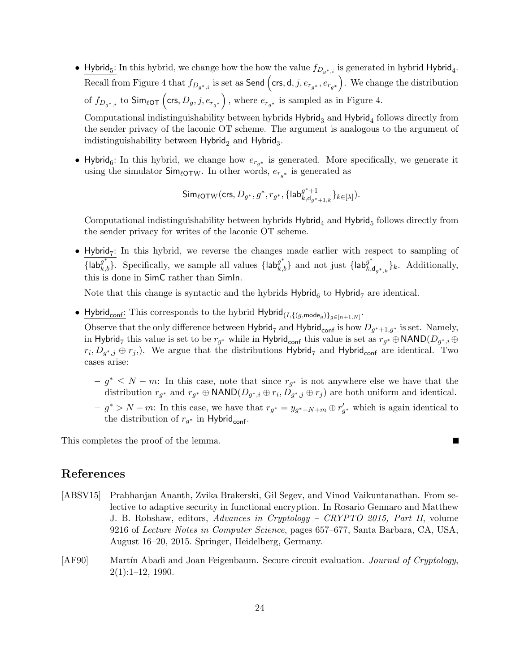• Hybrid<sub>5</sub>: In this hybrid, we change how the how the value  $f_{D_g^*,i}$  is generated in hybrid Hybrid<sub>4</sub>. Recall from Figure 4 that  $f_{D_{g^*,i}}$  is set as Send  $(crs, d, j, e_{r_{g^*}}, e_{r_{g^*}})$ . We change the distribution of  $f_{D_{g^*,i}}$  to Sim<sub>lot</sub>  $\left(\textsf{crs}, D_g, j, e_{r_{g^*}}\right)$ , where  $e_{r_{g^*}}$  is sampled as in Figure 4.

Computational indistinguishability between hybrids  $Hybrid<sub>3</sub>$  and  $Hybrid<sub>4</sub>$  follows directly from the sender privacy of the laconic OT scheme. The argument is analogous to the argument of indistinguishability between  $Hybrid<sub>2</sub>$  and  $Hybrid<sub>3</sub>$ .

• Hybrid<sub>6</sub>: In this hybrid, we change how  $e_{r_g*}$  is generated. More specifically, we generate it using the simulator  $\mathsf{Sim}_{\ell\mathsf{OTW}}$ . In other words,  $e_{r_{\mathsf{g}*}}$  is generated as

$$
\textsf{Sim}_{\ell\textsf{OTW}}(\textsf{crs},D_{g^*},g^*,r_{g^*},\{\textsf{lab}^{g^*+1}_{k,\mathsf{d}_{g^*+1,k}}\}_{k\in[\lambda]}).
$$

Computational indistinguishability between hybrids  $H$ ybrid<sub>4</sub> and  $H$ ybrid<sub>5</sub> follows directly from the sender privacy for writes of the laconic OT scheme.

• Hybrid<sub>7</sub>: In this hybrid, we reverse the changes made earlier with respect to sampling of  $\{\mathsf{lab}_{k,b}^{g^*}\}\$ . Specifically, we sample all values  $\{\mathsf{lab}_{k,b}^{g^*}\}\$  and not just  $\{\mathsf{lab}_{k,b}^{g^*}\}\$  $_{k,\mathsf{d}_{g^*,k}}^g\}_k$ . Additionally, this is done in SimC rather than SimIn.

Note that this change is syntactic and the hybrids  $Hybrid<sub>6</sub>$  to  $Hybrid<sub>7</sub>$  are identical.

• Hybrid<sub>conf</sub>: This corresponds to the hybrid Hybrid<sub>(I,{(g,mode<sub>g</sub>)}<sub>g∈[n+1,N]</sub>.</sub>

Observe that the only difference between  $H$ ybrid<sub>7</sub> and  $H$ ybrid<sub>conf</sub> is how  $D_{g^*+1,g^*}$  is set. Namely, in Hybrid<sub>7</sub> this value is set to be  $r_{g^*}$  while in Hybrid<sub>conf</sub> this value is set as  $r_{g^*} \oplus \textsf{NAND}(D_{g^*,i} \oplus$  $r_i, D_{g^*,j} \oplus r_j$ ). We argue that the distributions  $H$ ybrid<sub>7</sub> and  $H$ ybrid<sub>conf</sub> are identical. Two cases arise:

- $g^* \leq N m$ : In this case, note that since  $r_{g^*}$  is not anywhere else we have that the distribution  $r_{g^*}$  and  $r_{g^*} \oplus \text{NAND}(D_{g^*,i} \oplus r_i, D_{g^*,j} \oplus r_j)$  are both uniform and identical.
- $-g^* > N-m$ : In this case, we have that  $r_{g^*} = y_{g^* N+m} \oplus r'_{g^*}$  which is again identical to the distribution of  $r_{g^*}$  in Hybrid<sub>conf</sub>.

П

This completes the proof of the lemma.

# References

- [ABSV15] Prabhanjan Ananth, Zvika Brakerski, Gil Segev, and Vinod Vaikuntanathan. From selective to adaptive security in functional encryption. In Rosario Gennaro and Matthew J. B. Robshaw, editors, Advances in Cryptology – CRYPTO 2015, Part II, volume 9216 of Lecture Notes in Computer Science, pages 657–677, Santa Barbara, CA, USA, August 16–20, 2015. Springer, Heidelberg, Germany.
- [AF90] Martín Abadi and Joan Feigenbaum. Secure circuit evaluation. Journal of Cryptology,  $2(1):1-12, 1990.$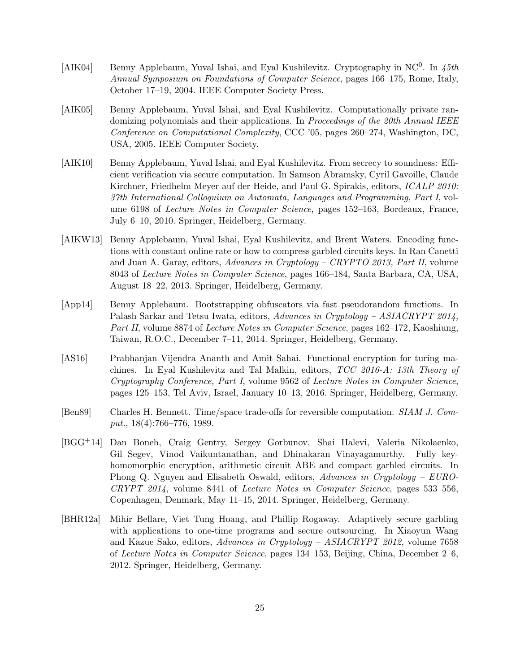- [AIK04] Benny Applebaum, Yuval Ishai, and Eyal Kushilevitz. Cryptography in NC<sup>0</sup>. In 45th Annual Symposium on Foundations of Computer Science, pages 166–175, Rome, Italy, October 17–19, 2004. IEEE Computer Society Press.
- [AIK05] Benny Applebaum, Yuval Ishai, and Eyal Kushilevitz. Computationally private randomizing polynomials and their applications. In Proceedings of the 20th Annual IEEE Conference on Computational Complexity, CCC '05, pages 260–274, Washington, DC, USA, 2005. IEEE Computer Society.
- [AIK10] Benny Applebaum, Yuval Ishai, and Eyal Kushilevitz. From secrecy to soundness: Efficient verification via secure computation. In Samson Abramsky, Cyril Gavoille, Claude Kirchner, Friedhelm Meyer auf der Heide, and Paul G. Spirakis, editors, ICALP 2010: 37th International Colloquium on Automata, Languages and Programming, Part I, volume 6198 of Lecture Notes in Computer Science, pages 152–163, Bordeaux, France, July 6–10, 2010. Springer, Heidelberg, Germany.
- [AIKW13] Benny Applebaum, Yuval Ishai, Eyal Kushilevitz, and Brent Waters. Encoding functions with constant online rate or how to compress garbled circuits keys. In Ran Canetti and Juan A. Garay, editors, Advances in Cryptology – CRYPTO 2013, Part II, volume 8043 of Lecture Notes in Computer Science, pages 166–184, Santa Barbara, CA, USA, August 18–22, 2013. Springer, Heidelberg, Germany.
- [App14] Benny Applebaum. Bootstrapping obfuscators via fast pseudorandom functions. In Palash Sarkar and Tetsu Iwata, editors, Advances in Cryptology – ASIACRYPT 2014, Part II, volume 8874 of Lecture Notes in Computer Science, pages 162–172, Kaoshiung, Taiwan, R.O.C., December 7–11, 2014. Springer, Heidelberg, Germany.
- [AS16] Prabhanjan Vijendra Ananth and Amit Sahai. Functional encryption for turing machines. In Eyal Kushilevitz and Tal Malkin, editors, TCC 2016-A: 13th Theory of Cryptography Conference, Part I, volume 9562 of Lecture Notes in Computer Science, pages 125–153, Tel Aviv, Israel, January 10–13, 2016. Springer, Heidelberg, Germany.
- [Ben89] Charles H. Bennett. Time/space trade-offs for reversible computation. SIAM J. Comput.,  $18(4)$ :766–776, 1989.
- [BGG+14] Dan Boneh, Craig Gentry, Sergey Gorbunov, Shai Halevi, Valeria Nikolaenko, Gil Segev, Vinod Vaikuntanathan, and Dhinakaran Vinayagamurthy. Fully keyhomomorphic encryption, arithmetic circuit ABE and compact garbled circuits. In Phong Q. Nguyen and Elisabeth Oswald, editors, Advances in Cryptology – EURO-CRYPT 2014, volume 8441 of Lecture Notes in Computer Science, pages 533–556, Copenhagen, Denmark, May 11–15, 2014. Springer, Heidelberg, Germany.
- [BHR12a] Mihir Bellare, Viet Tung Hoang, and Phillip Rogaway. Adaptively secure garbling with applications to one-time programs and secure outsourcing. In Xiaoyun Wang and Kazue Sako, editors, Advances in Cryptology – ASIACRYPT 2012, volume 7658 of Lecture Notes in Computer Science, pages 134–153, Beijing, China, December 2–6, 2012. Springer, Heidelberg, Germany.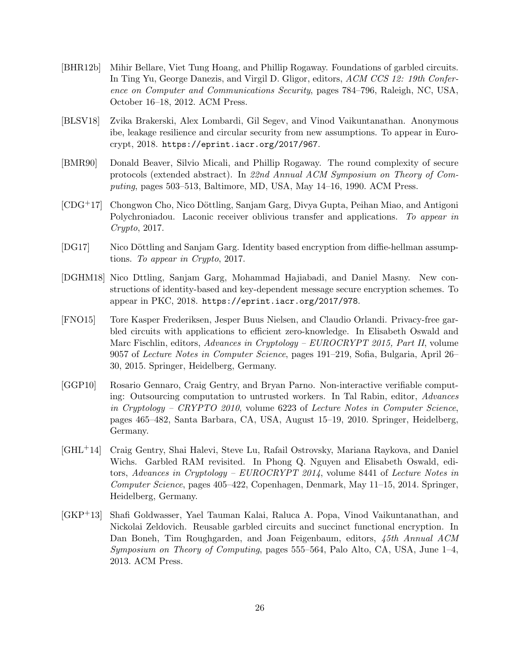- [BHR12b] Mihir Bellare, Viet Tung Hoang, and Phillip Rogaway. Foundations of garbled circuits. In Ting Yu, George Danezis, and Virgil D. Gligor, editors, ACM CCS 12: 19th Conference on Computer and Communications Security, pages 784–796, Raleigh, NC, USA, October 16–18, 2012. ACM Press.
- [BLSV18] Zvika Brakerski, Alex Lombardi, Gil Segev, and Vinod Vaikuntanathan. Anonymous ibe, leakage resilience and circular security from new assumptions. To appear in Eurocrypt, 2018. https://eprint.iacr.org/2017/967.
- [BMR90] Donald Beaver, Silvio Micali, and Phillip Rogaway. The round complexity of secure protocols (extended abstract). In 22nd Annual ACM Symposium on Theory of Computing, pages 503–513, Baltimore, MD, USA, May 14–16, 1990. ACM Press.
- $[CDG+17]$  Chongwon Cho, Nico Döttling, Sanjam Garg, Divya Gupta, Peihan Miao, and Antigoni Polychroniadou. Laconic receiver oblivious transfer and applications. To appear in Crypto, 2017.
- [DG17] Nico Döttling and Sanjam Garg. Identity based encryption from diffie-hellman assumptions. To appear in Crypto, 2017.
- [DGHM18] Nico Dttling, Sanjam Garg, Mohammad Hajiabadi, and Daniel Masny. New constructions of identity-based and key-dependent message secure encryption schemes. To appear in PKC, 2018. https://eprint.iacr.org/2017/978.
- [FNO15] Tore Kasper Frederiksen, Jesper Buus Nielsen, and Claudio Orlandi. Privacy-free garbled circuits with applications to efficient zero-knowledge. In Elisabeth Oswald and Marc Fischlin, editors, Advances in Cryptology – EUROCRYPT 2015, Part II, volume 9057 of Lecture Notes in Computer Science, pages 191–219, Sofia, Bulgaria, April 26– 30, 2015. Springer, Heidelberg, Germany.
- [GGP10] Rosario Gennaro, Craig Gentry, and Bryan Parno. Non-interactive verifiable computing: Outsourcing computation to untrusted workers. In Tal Rabin, editor, Advances in Cryptology – CRYPTO 2010, volume 6223 of Lecture Notes in Computer Science, pages 465–482, Santa Barbara, CA, USA, August 15–19, 2010. Springer, Heidelberg, Germany.
- [GHL+14] Craig Gentry, Shai Halevi, Steve Lu, Rafail Ostrovsky, Mariana Raykova, and Daniel Wichs. Garbled RAM revisited. In Phong Q. Nguyen and Elisabeth Oswald, editors, Advances in Cryptology – EUROCRYPT 2014, volume 8441 of Lecture Notes in Computer Science, pages 405–422, Copenhagen, Denmark, May 11–15, 2014. Springer, Heidelberg, Germany.
- [GKP+13] Shafi Goldwasser, Yael Tauman Kalai, Raluca A. Popa, Vinod Vaikuntanathan, and Nickolai Zeldovich. Reusable garbled circuits and succinct functional encryption. In Dan Boneh, Tim Roughgarden, and Joan Feigenbaum, editors, 45th Annual ACM Symposium on Theory of Computing, pages 555–564, Palo Alto, CA, USA, June 1–4, 2013. ACM Press.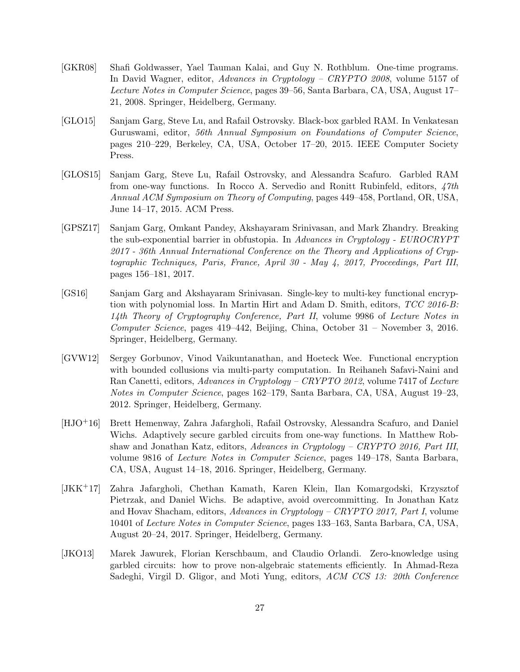- [GKR08] Shafi Goldwasser, Yael Tauman Kalai, and Guy N. Rothblum. One-time programs. In David Wagner, editor, Advances in Cryptology – CRYPTO 2008, volume 5157 of Lecture Notes in Computer Science, pages 39–56, Santa Barbara, CA, USA, August 17– 21, 2008. Springer, Heidelberg, Germany.
- [GLO15] Sanjam Garg, Steve Lu, and Rafail Ostrovsky. Black-box garbled RAM. In Venkatesan Guruswami, editor, 56th Annual Symposium on Foundations of Computer Science, pages 210–229, Berkeley, CA, USA, October 17–20, 2015. IEEE Computer Society Press.
- [GLOS15] Sanjam Garg, Steve Lu, Rafail Ostrovsky, and Alessandra Scafuro. Garbled RAM from one-way functions. In Rocco A. Servedio and Ronitt Rubinfeld, editors, 47th Annual ACM Symposium on Theory of Computing, pages 449–458, Portland, OR, USA, June 14–17, 2015. ACM Press.
- [GPSZ17] Sanjam Garg, Omkant Pandey, Akshayaram Srinivasan, and Mark Zhandry. Breaking the sub-exponential barrier in obfustopia. In Advances in Cryptology - EUROCRYPT 2017 - 36th Annual International Conference on the Theory and Applications of Cryptographic Techniques, Paris, France, April 30 - May 4, 2017, Proceedings, Part III, pages 156–181, 2017.
- [GS16] Sanjam Garg and Akshayaram Srinivasan. Single-key to multi-key functional encryption with polynomial loss. In Martin Hirt and Adam D. Smith, editors, TCC 2016-B: 14th Theory of Cryptography Conference, Part II, volume 9986 of Lecture Notes in Computer Science, pages 419–442, Beijing, China, October 31 – November 3, 2016. Springer, Heidelberg, Germany.
- [GVW12] Sergey Gorbunov, Vinod Vaikuntanathan, and Hoeteck Wee. Functional encryption with bounded collusions via multi-party computation. In Reihaneh Safavi-Naini and Ran Canetti, editors, Advances in Cryptology – CRYPTO 2012, volume 7417 of Lecture Notes in Computer Science, pages 162–179, Santa Barbara, CA, USA, August 19–23, 2012. Springer, Heidelberg, Germany.
- [HJO+16] Brett Hemenway, Zahra Jafargholi, Rafail Ostrovsky, Alessandra Scafuro, and Daniel Wichs. Adaptively secure garbled circuits from one-way functions. In Matthew Robshaw and Jonathan Katz, editors, Advances in Cryptology – CRYPTO 2016, Part III, volume 9816 of Lecture Notes in Computer Science, pages 149–178, Santa Barbara, CA, USA, August 14–18, 2016. Springer, Heidelberg, Germany.
- [JKK+17] Zahra Jafargholi, Chethan Kamath, Karen Klein, Ilan Komargodski, Krzysztof Pietrzak, and Daniel Wichs. Be adaptive, avoid overcommitting. In Jonathan Katz and Hovav Shacham, editors, Advances in Cryptology – CRYPTO 2017, Part I, volume 10401 of Lecture Notes in Computer Science, pages 133–163, Santa Barbara, CA, USA, August 20–24, 2017. Springer, Heidelberg, Germany.
- [JKO13] Marek Jawurek, Florian Kerschbaum, and Claudio Orlandi. Zero-knowledge using garbled circuits: how to prove non-algebraic statements efficiently. In Ahmad-Reza Sadeghi, Virgil D. Gligor, and Moti Yung, editors, ACM CCS 13: 20th Conference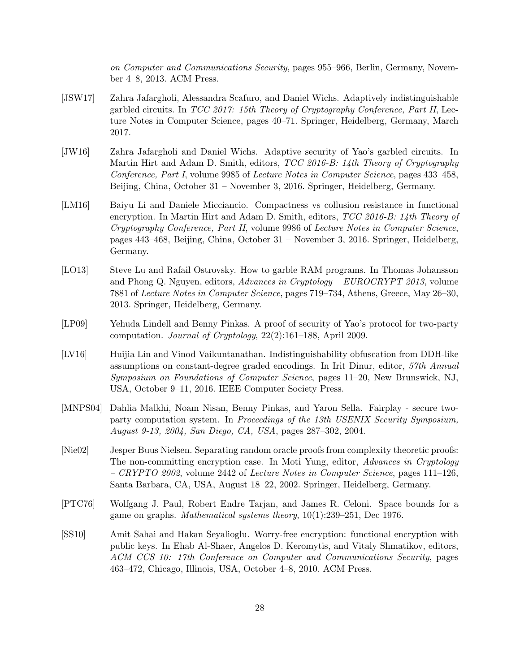on Computer and Communications Security, pages 955–966, Berlin, Germany, November 4–8, 2013. ACM Press.

- [JSW17] Zahra Jafargholi, Alessandra Scafuro, and Daniel Wichs. Adaptively indistinguishable garbled circuits. In TCC 2017: 15th Theory of Cryptography Conference, Part II, Lecture Notes in Computer Science, pages 40–71. Springer, Heidelberg, Germany, March 2017.
- [JW16] Zahra Jafargholi and Daniel Wichs. Adaptive security of Yao's garbled circuits. In Martin Hirt and Adam D. Smith, editors, TCC 2016-B: 14th Theory of Cryptography Conference, Part I, volume 9985 of Lecture Notes in Computer Science, pages 433–458, Beijing, China, October 31 – November 3, 2016. Springer, Heidelberg, Germany.
- [LM16] Baiyu Li and Daniele Micciancio. Compactness vs collusion resistance in functional encryption. In Martin Hirt and Adam D. Smith, editors, TCC 2016-B: 14th Theory of Cryptography Conference, Part II, volume 9986 of Lecture Notes in Computer Science, pages 443–468, Beijing, China, October 31 – November 3, 2016. Springer, Heidelberg, Germany.
- [LO13] Steve Lu and Rafail Ostrovsky. How to garble RAM programs. In Thomas Johansson and Phong Q. Nguyen, editors, Advances in Cryptology – EUROCRYPT 2013, volume 7881 of Lecture Notes in Computer Science, pages 719–734, Athens, Greece, May 26–30, 2013. Springer, Heidelberg, Germany.
- [LP09] Yehuda Lindell and Benny Pinkas. A proof of security of Yao's protocol for two-party computation. Journal of Cryptology, 22(2):161–188, April 2009.
- [LV16] Huijia Lin and Vinod Vaikuntanathan. Indistinguishability obfuscation from DDH-like assumptions on constant-degree graded encodings. In Irit Dinur, editor, 57th Annual Symposium on Foundations of Computer Science, pages 11–20, New Brunswick, NJ, USA, October 9–11, 2016. IEEE Computer Society Press.
- [MNPS04] Dahlia Malkhi, Noam Nisan, Benny Pinkas, and Yaron Sella. Fairplay secure twoparty computation system. In Proceedings of the 13th USENIX Security Symposium, August 9-13, 2004, San Diego, CA, USA, pages 287–302, 2004.
- [Nie02] Jesper Buus Nielsen. Separating random oracle proofs from complexity theoretic proofs: The non-committing encryption case. In Moti Yung, editor, Advances in Cryptology –  $CRYPTO$  2002, volume 2442 of Lecture Notes in Computer Science, pages 111–126, Santa Barbara, CA, USA, August 18–22, 2002. Springer, Heidelberg, Germany.
- [PTC76] Wolfgang J. Paul, Robert Endre Tarjan, and James R. Celoni. Space bounds for a game on graphs. Mathematical systems theory, 10(1):239–251, Dec 1976.
- [SS10] Amit Sahai and Hakan Seyalioglu. Worry-free encryption: functional encryption with public keys. In Ehab Al-Shaer, Angelos D. Keromytis, and Vitaly Shmatikov, editors, ACM CCS 10: 17th Conference on Computer and Communications Security, pages 463–472, Chicago, Illinois, USA, October 4–8, 2010. ACM Press.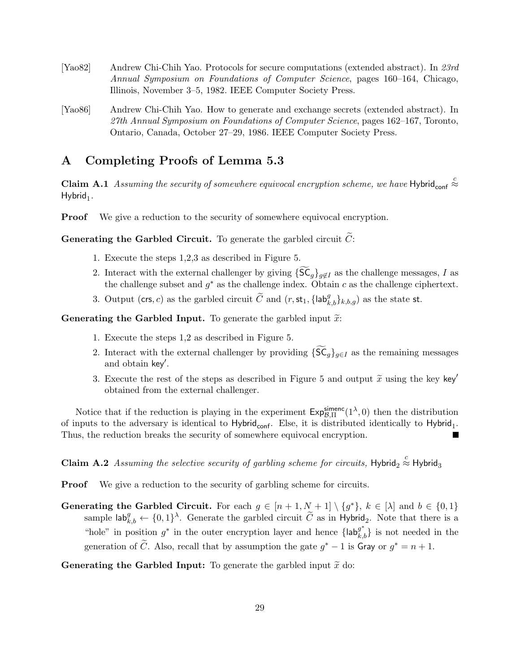- [Yao82] Andrew Chi-Chih Yao. Protocols for secure computations (extended abstract). In 23rd Annual Symposium on Foundations of Computer Science, pages 160–164, Chicago, Illinois, November 3–5, 1982. IEEE Computer Society Press.
- [Yao86] Andrew Chi-Chih Yao. How to generate and exchange secrets (extended abstract). In 27th Annual Symposium on Foundations of Computer Science, pages 162–167, Toronto, Ontario, Canada, October 27–29, 1986. IEEE Computer Society Press.

# A Completing Proofs of Lemma 5.3

**Claim A.1** Assuming the security of somewhere equivocal encryption scheme, we have Hybrid<sub>conf</sub>  $\stackrel{c}{\approx}$  $Hybrid<sub>1</sub>$ .

**Proof** We give a reduction to the security of somewhere equivocal encryption.

Generating the Garbled Circuit. To generate the garbled circuit  $\tilde{C}$ :

- 1. Execute the steps 1,2,3 as described in Figure 5.
- 2. Interact with the external challenger by giving  $\{\widetilde{SC}_g\}_{g\notin I}$  as the challenge messages, I as the challenge subset and  $g^*$  as the challenge index. Obtain c as the challenge ciphertext.
- 3. Output (crs, c) as the garbled circuit  $\tilde{C}$  and  $(r, \text{st}_1, {\{\text{lab}^g_{k,b}\}}_{k,b,g})$  as the state st.

Generating the Garbled Input. To generate the garbled input  $\tilde{x}$ :

- 1. Execute the steps 1,2 as described in Figure 5.
- 2. Interact with the external challenger by providing  $\{\widetilde{SC}_g\}_{g\in I}$  as the remaining messages and obtain key'.
- 3. Execute the rest of the steps as described in Figure 5 and output  $\tilde{x}$  using the key key obtained from the external challenger.

Notice that if the reduction is playing in the experiment  $Exp^{simer}_{\mathcal{B},\Pi}(1^{\lambda},0)$  then the distribution of inputs to the adversary is identical to  $H$ ybrid<sub>conf</sub>. Else, it is distributed identically to  $H$ ybrid<sub>1</sub>. Thus, the reduction breaks the security of somewhere equivocal encryption.

**Claim A.2** Assuming the selective security of garbling scheme for circuits, Hybrid<sub>2</sub>  $\stackrel{c}{\approx}$  Hybrid<sub>3</sub>

**Proof** We give a reduction to the security of garbling scheme for circuits.

Generating the Garbled Circuit. For each  $g \in [n+1, N+1] \setminus \{g^*\}, k \in [\lambda]$  and  $b \in \{0,1\}$ sample  $\mathsf{lab}_{k,b}^g \leftarrow \{0,1\}^{\lambda}$ . Generate the garbled circuit  $\widetilde{C}$  as in Hybrid<sub>2</sub>. Note that there is a "hole" in position  $g^*$  in the outer encryption layer and hence  $\{\mathsf{lab}_{k,b}^{g^*}\}\)$  is not needed in the generation of  $\tilde{C}$ . Also, recall that by assumption the gate  $g^* - 1$  is Gray or  $g^* = n + 1$ .

**Generating the Garbled Input:** To generate the garbled input  $\tilde{x}$  do: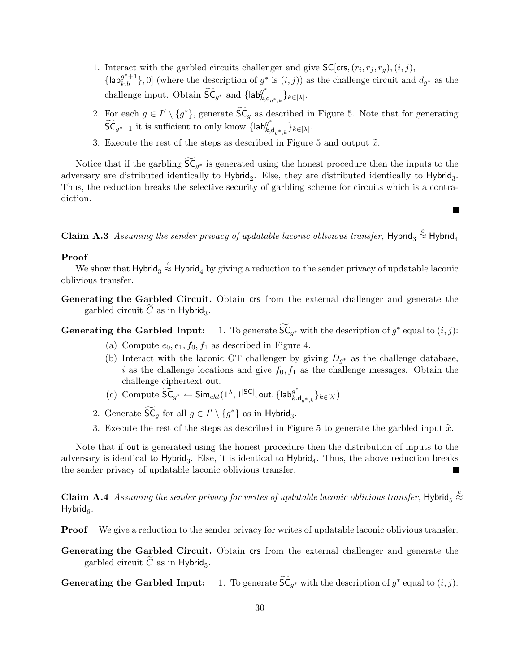- 1. Interact with the garbled circuits challenger and give  $\mathsf{SC}[\mathsf{crs}, (r_i, r_j, r_g), (i, j),$  $\{\mathsf{lab}_{k,b}^{g^*+1}\},0]$  (where the description of  $g^*$  is  $(i,j)$ ) as the challenge circuit and  $d_{g^*}$  as the challenge input. Obtain  $\widetilde{\mathsf{SC}}_{g^*}$  and  $\{\mathsf{lab}^{g^*}_{k, \cdot}\}$  $_{k,\mathsf{d}_{g^*,k}}^g\}_{k\in[\lambda]}.$
- 2. For each  $g \in I' \setminus \{g^*\}$ , generate  $\widetilde{SC}_g$  as described in Figure 5. Note that for generating  $\widetilde{SC}_{g^*-1}$  it is sufficient to only know {lab $g^*_{k,s}$  $_{k,\mathsf{d}_{g^*,k}}^{g} \}_{k\in [\lambda]}.$

 $\blacksquare$ 

3. Execute the rest of the steps as described in Figure 5 and output  $\tilde{x}$ .

Notice that if the garbling  $SC_{g^*}$  is generated using the honest procedure then the inputs to the adversary are distributed identically to Hybrid<sub>2</sub>. Else, they are distributed identically to Hybrid<sub>3</sub>. Thus, the reduction breaks the selective security of garbling scheme for circuits which is a contradiction.

**Claim A.3** Assuming the sender privacy of updatable laconic oblivious transfer, Hybrid<sub>3</sub>  $\stackrel{c}{\approx}$  Hybrid<sub>4</sub>

### Proof

We show that  $\mathsf{Hybrid}_3 \stackrel{c}{\approx} \mathsf{Hybrid}_4$  by giving a reduction to the sender privacy of updatable laconic oblivious transfer.

Generating the Garbled Circuit. Obtain crs from the external challenger and generate the garbled circuit C as in  $Hybrid<sub>3</sub>$ .

**Generating the Garbled Input:** 1. To generate  $SC_{g^*}$  with the description of  $g^*$  equal to  $(i, j)$ :

- (a) Compute  $e_0, e_1, f_0, f_1$  as described in Figure 4.
- (b) Interact with the laconic OT challenger by giving  $D_{g^*}$  as the challenge database, i as the challenge locations and give  $f_0, f_1$  as the challenge messages. Obtain the challenge ciphertext out.
- (c) Compute  $\widetilde{SC}_{g^*} \leftarrow \mathsf{Sim}_{ckt}(1^\lambda, 1^{|\mathsf{SC}|}, \mathsf{out}, \{\mathsf{lab}_{k,\mathsf{t}}^{g^*}\}$  $_{k,\mathsf{d}_{g^*,k}}^{g} \}_{k\in[\lambda]})$
- 2. Generate  $\widetilde{SC}_g$  for all  $g \in I' \setminus \{g^*\}$  as in Hybrid<sub>3</sub>.
- 3. Execute the rest of the steps as described in Figure 5 to generate the garbled input  $\tilde{x}$ .

Note that if out is generated using the honest procedure then the distribution of inputs to the adversary is identical to  $H$ ybrid<sub>3</sub>. Else, it is identical to  $H$ ybrid<sub>4</sub>. Thus, the above reduction breaks the sender privacy of updatable laconic oblivious transfer. Г

**Claim A.4** Assuming the sender privacy for writes of updatable laconic oblivious transfer, Hybrid<sub>5</sub>  $\stackrel{c}{\approx}$  $Hybrid<sub>6</sub>$ .

Proof We give a reduction to the sender privacy for writes of updatable laconic oblivious transfer.

Generating the Garbled Circuit. Obtain crs from the external challenger and generate the garbled circuit C as in  $H$ ybrid<sub>5</sub>.

Generating the Garbled Input: • with the description of  $g^*$  equal to  $(i, j)$ :